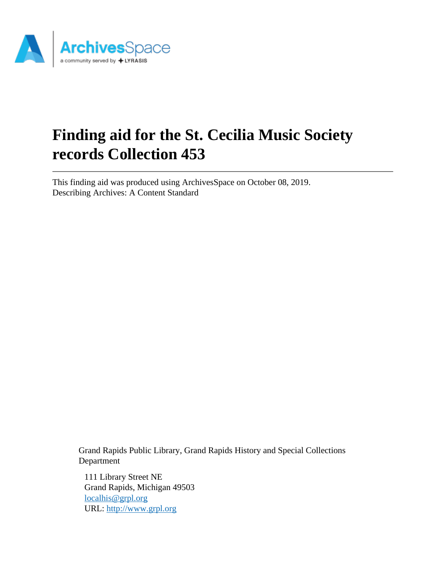

# **Finding aid for the St. Cecilia Music Society records Collection 453**

This finding aid was produced using ArchivesSpace on October 08, 2019. Describing Archives: A Content Standard

> Grand Rapids Public Library, Grand Rapids History and Special Collections Department

111 Library Street NE Grand Rapids, Michigan 49503 [localhis@grpl.org](mailto:localhis@grpl.org) URL:<http://www.grpl.org>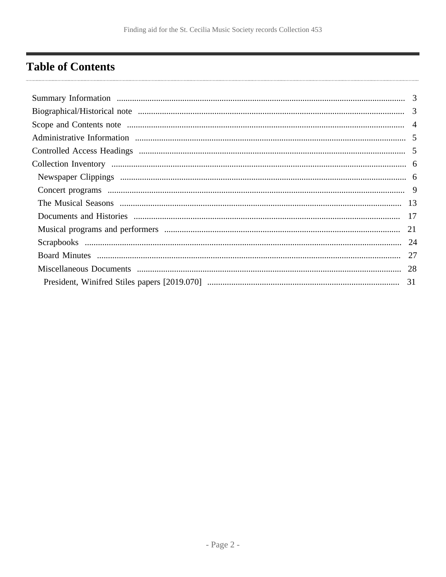# <span id="page-1-0"></span>**Table of Contents**

| 21 |
|----|
|    |
|    |
|    |
|    |
|    |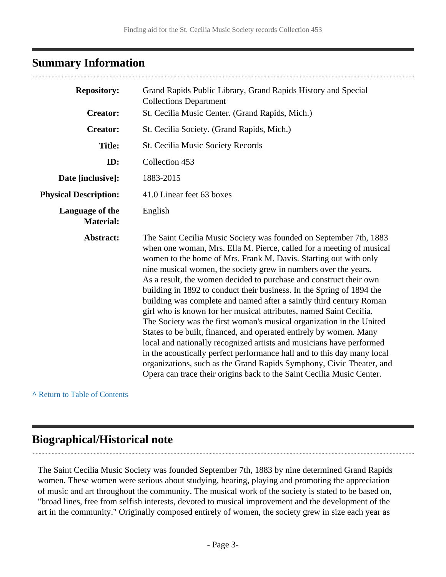## <span id="page-2-0"></span>**Summary Information**

| <b>Repository:</b>                  | Grand Rapids Public Library, Grand Rapids History and Special<br><b>Collections Department</b>                                                                                                                                                                                                                                                                                                                                                                                                                                                                                                                                                                                                                                                                                                                                                                                                                                                                                                                                  |
|-------------------------------------|---------------------------------------------------------------------------------------------------------------------------------------------------------------------------------------------------------------------------------------------------------------------------------------------------------------------------------------------------------------------------------------------------------------------------------------------------------------------------------------------------------------------------------------------------------------------------------------------------------------------------------------------------------------------------------------------------------------------------------------------------------------------------------------------------------------------------------------------------------------------------------------------------------------------------------------------------------------------------------------------------------------------------------|
| <b>Creator:</b>                     | St. Cecilia Music Center. (Grand Rapids, Mich.)                                                                                                                                                                                                                                                                                                                                                                                                                                                                                                                                                                                                                                                                                                                                                                                                                                                                                                                                                                                 |
| <b>Creator:</b>                     | St. Cecilia Society. (Grand Rapids, Mich.)                                                                                                                                                                                                                                                                                                                                                                                                                                                                                                                                                                                                                                                                                                                                                                                                                                                                                                                                                                                      |
| <b>Title:</b>                       | St. Cecilia Music Society Records                                                                                                                                                                                                                                                                                                                                                                                                                                                                                                                                                                                                                                                                                                                                                                                                                                                                                                                                                                                               |
| ID:                                 | Collection 453                                                                                                                                                                                                                                                                                                                                                                                                                                                                                                                                                                                                                                                                                                                                                                                                                                                                                                                                                                                                                  |
| Date [inclusive]:                   | 1883-2015                                                                                                                                                                                                                                                                                                                                                                                                                                                                                                                                                                                                                                                                                                                                                                                                                                                                                                                                                                                                                       |
| <b>Physical Description:</b>        | 41.0 Linear feet 63 boxes                                                                                                                                                                                                                                                                                                                                                                                                                                                                                                                                                                                                                                                                                                                                                                                                                                                                                                                                                                                                       |
| Language of the<br><b>Material:</b> | English                                                                                                                                                                                                                                                                                                                                                                                                                                                                                                                                                                                                                                                                                                                                                                                                                                                                                                                                                                                                                         |
| Abstract:                           | The Saint Cecilia Music Society was founded on September 7th, 1883<br>when one woman, Mrs. Ella M. Pierce, called for a meeting of musical<br>women to the home of Mrs. Frank M. Davis. Starting out with only<br>nine musical women, the society grew in numbers over the years.<br>As a result, the women decided to purchase and construct their own<br>building in 1892 to conduct their business. In the Spring of 1894 the<br>building was complete and named after a saintly third century Roman<br>girl who is known for her musical attributes, named Saint Cecilia.<br>The Society was the first woman's musical organization in the United<br>States to be built, financed, and operated entirely by women. Many<br>local and nationally recognized artists and musicians have performed<br>in the acoustically perfect performance hall and to this day many local<br>organizations, such as the Grand Rapids Symphony, Civic Theater, and<br>Opera can trace their origins back to the Saint Cecilia Music Center. |

**^** [Return to Table of Contents](#page-1-0)

## <span id="page-2-1"></span>**Biographical/Historical note**

The Saint Cecilia Music Society was founded September 7th, 1883 by nine determined Grand Rapids women. These women were serious about studying, hearing, playing and promoting the appreciation of music and art throughout the community. The musical work of the society is stated to be based on, "broad lines, free from selfish interests, devoted to musical improvement and the development of the art in the community." Originally composed entirely of women, the society grew in size each year as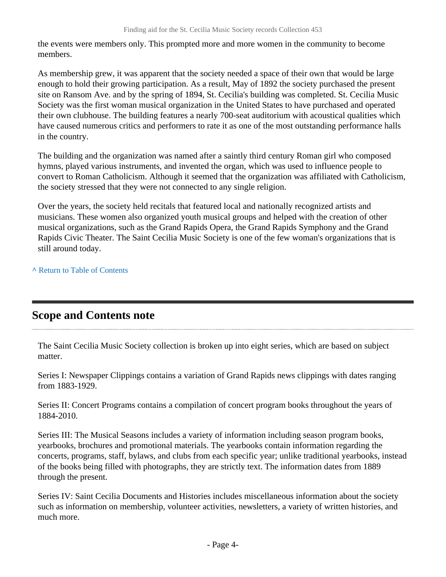the events were members only. This prompted more and more women in the community to become members.

As membership grew, it was apparent that the society needed a space of their own that would be large enough to hold their growing participation. As a result, May of 1892 the society purchased the present site on Ransom Ave. and by the spring of 1894, St. Cecilia's building was completed. St. Cecilia Music Society was the first woman musical organization in the United States to have purchased and operated their own clubhouse. The building features a nearly 700-seat auditorium with acoustical qualities which have caused numerous critics and performers to rate it as one of the most outstanding performance halls in the country.

The building and the organization was named after a saintly third century Roman girl who composed hymns, played various instruments, and invented the organ, which was used to influence people to convert to Roman Catholicism. Although it seemed that the organization was affiliated with Catholicism, the society stressed that they were not connected to any single religion.

Over the years, the society held recitals that featured local and nationally recognized artists and musicians. These women also organized youth musical groups and helped with the creation of other musical organizations, such as the Grand Rapids Opera, the Grand Rapids Symphony and the Grand Rapids Civic Theater. The Saint Cecilia Music Society is one of the few woman's organizations that is still around today.

**^** [Return to Table of Contents](#page-1-0)

### <span id="page-3-0"></span>**Scope and Contents note**

The Saint Cecilia Music Society collection is broken up into eight series, which are based on subject matter.

Series I: Newspaper Clippings contains a variation of Grand Rapids news clippings with dates ranging from 1883-1929.

Series II: Concert Programs contains a compilation of concert program books throughout the years of 1884-2010.

Series III: The Musical Seasons includes a variety of information including season program books, yearbooks, brochures and promotional materials. The yearbooks contain information regarding the concerts, programs, staff, bylaws, and clubs from each specific year; unlike traditional yearbooks, instead of the books being filled with photographs, they are strictly text. The information dates from 1889 through the present.

Series IV: Saint Cecilia Documents and Histories includes miscellaneous information about the society such as information on membership, volunteer activities, newsletters, a variety of written histories, and much more.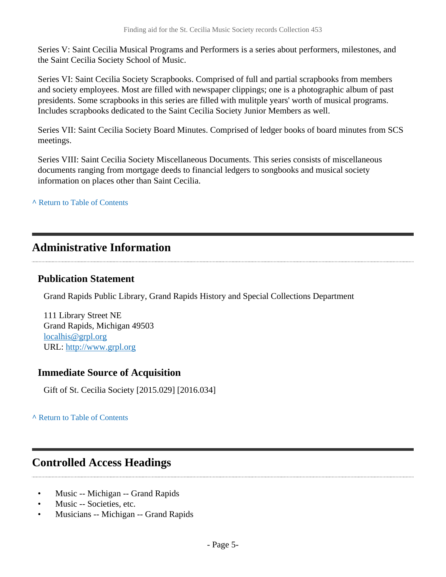Series V: Saint Cecilia Musical Programs and Performers is a series about performers, milestones, and the Saint Cecilia Society School of Music.

Series VI: Saint Cecilia Society Scrapbooks. Comprised of full and partial scrapbooks from members and society employees. Most are filled with newspaper clippings; one is a photographic album of past presidents. Some scrapbooks in this series are filled with mulitple years' worth of musical programs. Includes scrapbooks dedicated to the Saint Cecilia Society Junior Members as well.

Series VII: Saint Cecilia Society Board Minutes. Comprised of ledger books of board minutes from SCS meetings.

Series VIII: Saint Cecilia Society Miscellaneous Documents. This series consists of miscellaneous documents ranging from mortgage deeds to financial ledgers to songbooks and musical society information on places other than Saint Cecilia.

**^** [Return to Table of Contents](#page-1-0)

### <span id="page-4-0"></span>**Administrative Information**

### **Publication Statement**

Grand Rapids Public Library, Grand Rapids History and Special Collections Department

111 Library Street NE Grand Rapids, Michigan 49503 [localhis@grpl.org](mailto:localhis@grpl.org) URL:<http://www.grpl.org>

### **Immediate Source of Acquisition**

Gift of St. Cecilia Society [2015.029] [2016.034]

**^** [Return to Table of Contents](#page-1-0)

### <span id="page-4-1"></span>**Controlled Access Headings**

- Music -- Michigan -- Grand Rapids
- Music -- Societies, etc.
- Musicians -- Michigan -- Grand Rapids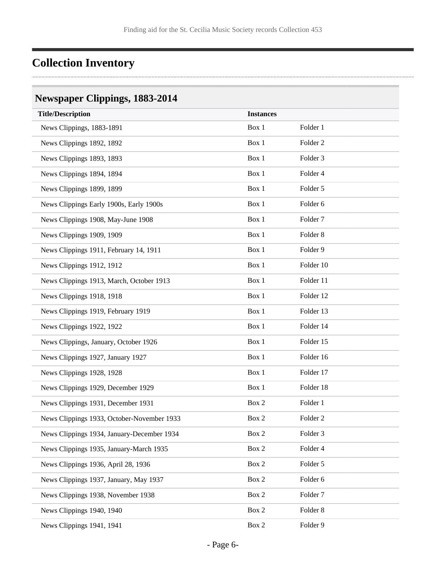# <span id="page-5-0"></span>**Collection Inventory**

## <span id="page-5-1"></span>**Newspaper Clippings, 1883-2014**

| <b>Title/Description</b>                   | <b>Instances</b> |                     |
|--------------------------------------------|------------------|---------------------|
| News Clippings, 1883-1891                  | Box 1            | Folder 1            |
| News Clippings 1892, 1892                  | Box 1            | Folder <sub>2</sub> |
| News Clippings 1893, 1893                  | Box 1            | Folder 3            |
| News Clippings 1894, 1894                  | Box 1            | Folder 4            |
| News Clippings 1899, 1899                  | Box 1            | Folder 5            |
| News Clippings Early 1900s, Early 1900s    | Box 1            | Folder 6            |
| News Clippings 1908, May-June 1908         | Box 1            | Folder <sub>7</sub> |
| News Clippings 1909, 1909                  | Box 1            | Folder <sub>8</sub> |
| News Clippings 1911, February 14, 1911     | Box 1            | Folder 9            |
| News Clippings 1912, 1912                  | Box 1            | Folder 10           |
| News Clippings 1913, March, October 1913   | Box 1            | Folder 11           |
| News Clippings 1918, 1918                  | Box 1            | Folder 12           |
| News Clippings 1919, February 1919         | Box 1            | Folder 13           |
| News Clippings 1922, 1922                  | Box 1            | Folder 14           |
| News Clippings, January, October 1926      | Box 1            | Folder 15           |
| News Clippings 1927, January 1927          | Box 1            | Folder 16           |
| News Clippings 1928, 1928                  | Box 1            | Folder 17           |
| News Clippings 1929, December 1929         | Box 1            | Folder 18           |
| News Clippings 1931, December 1931         | Box 2            | Folder 1            |
| News Clippings 1933, October-November 1933 | Box 2            | Folder <sub>2</sub> |
| News Clippings 1934, January-December 1934 | Box 2            | Folder 3            |
| News Clippings 1935, January-March 1935    | Box 2            | Folder 4            |
| News Clippings 1936, April 28, 1936        | Box 2            | Folder 5            |
| News Clippings 1937, January, May 1937     | Box 2            | Folder 6            |
| News Clippings 1938, November 1938         | Box 2            | Folder <sub>7</sub> |
| News Clippings 1940, 1940                  | Box 2            | Folder <sub>8</sub> |
| News Clippings 1941, 1941                  | Box 2            | Folder 9            |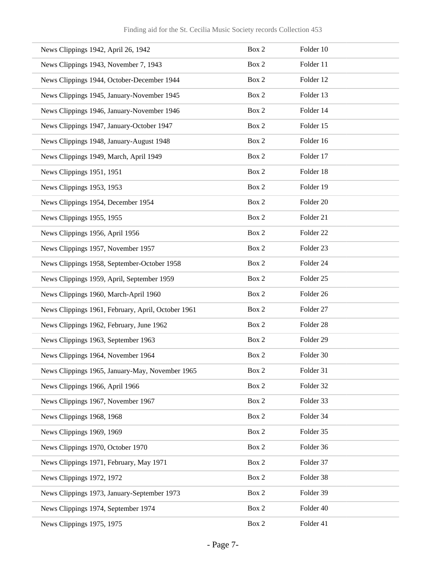| News Clippings 1942, April 26, 1942                | Box 2 | Folder 10            |
|----------------------------------------------------|-------|----------------------|
| News Clippings 1943, November 7, 1943              | Box 2 | Folder 11            |
| News Clippings 1944, October-December 1944         | Box 2 | Folder 12            |
| News Clippings 1945, January-November 1945         | Box 2 | Folder 13            |
| News Clippings 1946, January-November 1946         | Box 2 | Folder 14            |
| News Clippings 1947, January-October 1947          | Box 2 | Folder 15            |
| News Clippings 1948, January-August 1948           | Box 2 | Folder 16            |
| News Clippings 1949, March, April 1949             | Box 2 | Folder 17            |
| News Clippings 1951, 1951                          | Box 2 | Folder 18            |
| News Clippings 1953, 1953                          | Box 2 | Folder 19            |
| News Clippings 1954, December 1954                 | Box 2 | Folder <sub>20</sub> |
| News Clippings 1955, 1955                          | Box 2 | Folder 21            |
| News Clippings 1956, April 1956                    | Box 2 | Folder <sub>22</sub> |
| News Clippings 1957, November 1957                 | Box 2 | Folder <sub>23</sub> |
| News Clippings 1958, September-October 1958        | Box 2 | Folder 24            |
| News Clippings 1959, April, September 1959         | Box 2 | Folder <sub>25</sub> |
| News Clippings 1960, March-April 1960              | Box 2 | Folder <sub>26</sub> |
| News Clippings 1961, February, April, October 1961 | Box 2 | Folder 27            |
| News Clippings 1962, February, June 1962           | Box 2 | Folder <sub>28</sub> |
| News Clippings 1963, September 1963                | Box 2 | Folder 29            |
| News Clippings 1964, November 1964                 | Box 2 | Folder 30            |
| News Clippings 1965, January-May, November 1965    | Box 2 | Folder 31            |
| News Clippings 1966, April 1966                    | Box 2 | Folder 32            |
| News Clippings 1967, November 1967                 | Box 2 | Folder 33            |
| News Clippings 1968, 1968                          | Box 2 | Folder 34            |
| News Clippings 1969, 1969                          | Box 2 | Folder 35            |
| News Clippings 1970, October 1970                  | Box 2 | Folder 36            |
| News Clippings 1971, February, May 1971            | Box 2 | Folder 37            |
| News Clippings 1972, 1972                          | Box 2 | Folder 38            |
| News Clippings 1973, January-September 1973        | Box 2 | Folder 39            |
| News Clippings 1974, September 1974                | Box 2 | Folder 40            |
| News Clippings 1975, 1975                          | Box 2 | Folder 41            |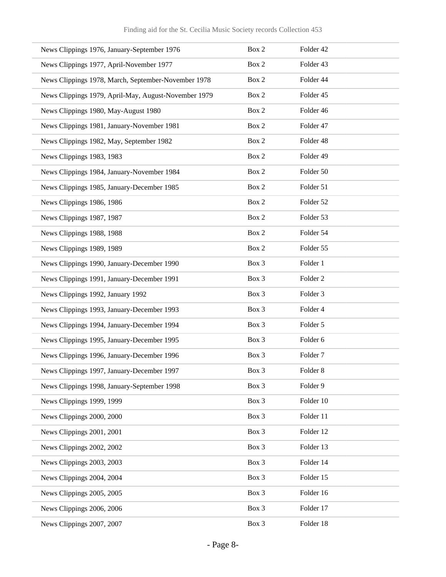| News Clippings 1976, January-September 1976          | Box 2 | Folder 42           |
|------------------------------------------------------|-------|---------------------|
| News Clippings 1977, April-November 1977             | Box 2 | Folder 43           |
| News Clippings 1978, March, September-November 1978  | Box 2 | Folder 44           |
| News Clippings 1979, April-May, August-November 1979 | Box 2 | Folder 45           |
| News Clippings 1980, May-August 1980                 | Box 2 | Folder 46           |
| News Clippings 1981, January-November 1981           | Box 2 | Folder 47           |
| News Clippings 1982, May, September 1982             | Box 2 | Folder 48           |
| News Clippings 1983, 1983                            | Box 2 | Folder 49           |
| News Clippings 1984, January-November 1984           | Box 2 | Folder 50           |
| News Clippings 1985, January-December 1985           | Box 2 | Folder 51           |
| News Clippings 1986, 1986                            | Box 2 | Folder 52           |
| News Clippings 1987, 1987                            | Box 2 | Folder 53           |
| News Clippings 1988, 1988                            | Box 2 | Folder 54           |
| News Clippings 1989, 1989                            | Box 2 | Folder 55           |
| News Clippings 1990, January-December 1990           | Box 3 | Folder 1            |
| News Clippings 1991, January-December 1991           | Box 3 | Folder <sub>2</sub> |
| News Clippings 1992, January 1992                    | Box 3 | Folder 3            |
| News Clippings 1993, January-December 1993           | Box 3 | Folder 4            |
| News Clippings 1994, January-December 1994           | Box 3 | Folder 5            |
| News Clippings 1995, January-December 1995           | Box 3 | Folder 6            |
| News Clippings 1996, January-December 1996           | Box 3 | Folder <sub>7</sub> |
| News Clippings 1997, January-December 1997           | Box 3 | Folder 8            |
| News Clippings 1998, January-September 1998          | Box 3 | Folder 9            |
| News Clippings 1999, 1999                            | Box 3 | Folder 10           |
| News Clippings 2000, 2000                            | Box 3 | Folder 11           |
| News Clippings 2001, 2001                            | Box 3 | Folder 12           |
| News Clippings 2002, 2002                            | Box 3 | Folder 13           |
| News Clippings 2003, 2003                            | Box 3 | Folder 14           |
| News Clippings 2004, 2004                            | Box 3 | Folder 15           |
| News Clippings 2005, 2005                            | Box 3 | Folder 16           |
| News Clippings 2006, 2006                            | Box 3 | Folder 17           |
| News Clippings 2007, 2007                            | Box 3 | Folder 18           |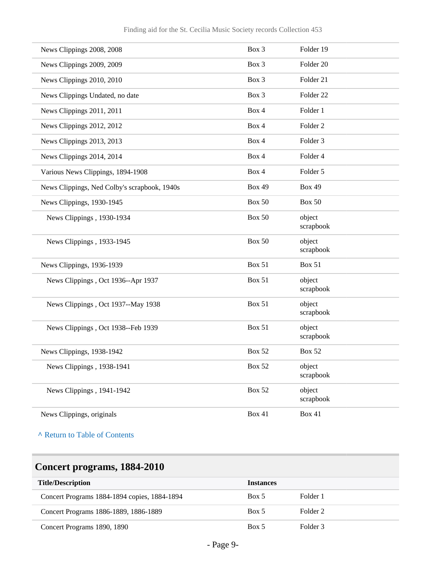| News Clippings 2008, 2008                    | Box 3         | Folder 19            |
|----------------------------------------------|---------------|----------------------|
| News Clippings 2009, 2009                    | Box 3         | Folder 20            |
| News Clippings 2010, 2010                    | $Box\ 3$      | Folder 21            |
| News Clippings Undated, no date              | Box 3         | Folder <sub>22</sub> |
| News Clippings 2011, 2011                    | Box 4         | Folder 1             |
| News Clippings 2012, 2012                    | Box 4         | Folder <sub>2</sub>  |
| News Clippings 2013, 2013                    | Box 4         | Folder <sub>3</sub>  |
| News Clippings 2014, 2014                    | Box 4         | Folder 4             |
| Various News Clippings, 1894-1908            | Box 4         | Folder 5             |
| News Clippings, Ned Colby's scrapbook, 1940s | <b>Box 49</b> | <b>Box 49</b>        |
| News Clippings, 1930-1945                    | Box 50        | Box 50               |
| News Clippings, 1930-1934                    | <b>Box 50</b> | object<br>scrapbook  |
| News Clippings, 1933-1945                    | <b>Box 50</b> | object<br>scrapbook  |
| News Clippings, 1936-1939                    | <b>Box 51</b> | <b>Box 51</b>        |
| News Clippings, Oct 1936--Apr 1937           | <b>Box 51</b> | object<br>scrapbook  |
| News Clippings, Oct 1937--May 1938           | <b>Box 51</b> | object<br>scrapbook  |
| News Clippings, Oct 1938--Feb 1939           | <b>Box 51</b> | object<br>scrapbook  |
| News Clippings, 1938-1942                    | <b>Box 52</b> | <b>Box 52</b>        |
| News Clippings, 1938-1941                    | <b>Box 52</b> | object<br>scrapbook  |
| News Clippings, 1941-1942                    | <b>Box 52</b> | object<br>scrapbook  |
| News Clippings, originals                    | <b>Box 41</b> | <b>Box 41</b>        |

# <span id="page-8-0"></span>**Concert programs, 1884-2010**

| <b>Title/Description</b>                     | <b>Instances</b> |                     |
|----------------------------------------------|------------------|---------------------|
| Concert Programs 1884-1894 copies, 1884-1894 | Box 5            | Folder 1            |
| Concert Programs 1886-1889, 1886-1889        | Box 5            | Folder <sub>2</sub> |
| Concert Programs 1890, 1890                  | Box 5            | Folder 3            |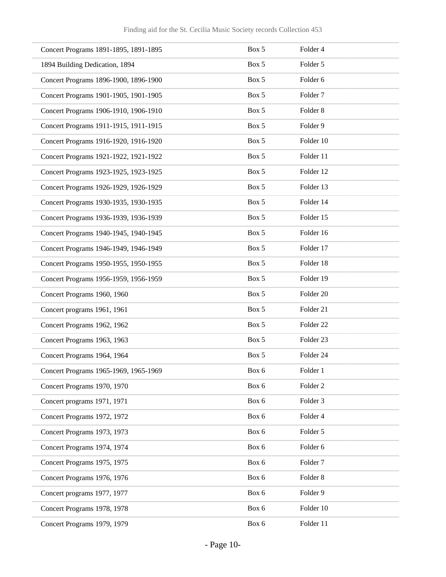| Concert Programs 1891-1895, 1891-1895 | Box 5 | Folder 4             |
|---------------------------------------|-------|----------------------|
| 1894 Building Dedication, 1894        | Box 5 | Folder 5             |
| Concert Programs 1896-1900, 1896-1900 | Box 5 | Folder 6             |
| Concert Programs 1901-1905, 1901-1905 | Box 5 | Folder <sub>7</sub>  |
| Concert Programs 1906-1910, 1906-1910 | Box 5 | Folder <sub>8</sub>  |
| Concert Programs 1911-1915, 1911-1915 | Box 5 | Folder 9             |
| Concert Programs 1916-1920, 1916-1920 | Box 5 | Folder 10            |
| Concert Programs 1921-1922, 1921-1922 | Box 5 | Folder 11            |
| Concert Programs 1923-1925, 1923-1925 | Box 5 | Folder 12            |
| Concert Programs 1926-1929, 1926-1929 | Box 5 | Folder 13            |
| Concert Programs 1930-1935, 1930-1935 | Box 5 | Folder 14            |
| Concert Programs 1936-1939, 1936-1939 | Box 5 | Folder 15            |
| Concert Programs 1940-1945, 1940-1945 | Box 5 | Folder 16            |
| Concert Programs 1946-1949, 1946-1949 | Box 5 | Folder 17            |
| Concert Programs 1950-1955, 1950-1955 | Box 5 | Folder 18            |
| Concert Programs 1956-1959, 1956-1959 | Box 5 | Folder 19            |
| Concert Programs 1960, 1960           | Box 5 | Folder 20            |
| Concert programs 1961, 1961           | Box 5 | Folder 21            |
| Concert Programs 1962, 1962           | Box 5 | Folder <sub>22</sub> |
| Concert Programs 1963, 1963           | Box 5 | Folder 23            |
| Concert Programs 1964, 1964           | Box 5 | Folder 24            |
| Concert Programs 1965-1969, 1965-1969 | Box 6 | Folder 1             |
| Concert Programs 1970, 1970           | Box 6 | Folder <sub>2</sub>  |
| Concert programs 1971, 1971           | Box 6 | Folder <sub>3</sub>  |
| Concert Programs 1972, 1972           | Box 6 | Folder 4             |
| Concert Programs 1973, 1973           | Box 6 | Folder 5             |
| Concert Programs 1974, 1974           | Box 6 | Folder 6             |
| Concert Programs 1975, 1975           | Box 6 | Folder <sub>7</sub>  |
| Concert Programs 1976, 1976           | Box 6 | Folder 8             |
| Concert programs 1977, 1977           | Box 6 | Folder 9             |
| Concert Programs 1978, 1978           | Box 6 | Folder 10            |
| Concert Programs 1979, 1979           | Box 6 | Folder 11            |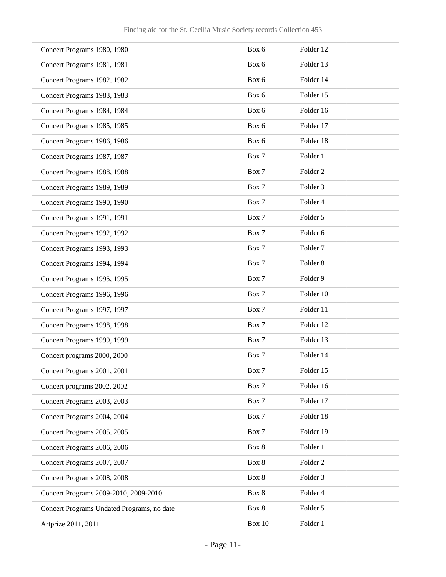| Concert Programs 1980, 1980                | Box 6    | Folder 12           |
|--------------------------------------------|----------|---------------------|
| Concert Programs 1981, 1981                | Box 6    | Folder 13           |
| Concert Programs 1982, 1982                | Box 6    | Folder 14           |
| Concert Programs 1983, 1983                | Box 6    | Folder 15           |
| Concert Programs 1984, 1984                | Box 6    | Folder 16           |
| Concert Programs 1985, 1985                | Box 6    | Folder 17           |
| Concert Programs 1986, 1986                | Box 6    | Folder 18           |
| Concert Programs 1987, 1987                | Box 7    | Folder 1            |
| Concert Programs 1988, 1988                | Box 7    | Folder <sub>2</sub> |
| Concert Programs 1989, 1989                | Box 7    | Folder <sub>3</sub> |
| Concert Programs 1990, 1990                | Box 7    | Folder 4            |
| Concert Programs 1991, 1991                | Box 7    | Folder 5            |
| Concert Programs 1992, 1992                | Box 7    | Folder 6            |
| Concert Programs 1993, 1993                | Box 7    | Folder <sub>7</sub> |
| Concert Programs 1994, 1994                | Box 7    | Folder <sub>8</sub> |
| Concert Programs 1995, 1995                | Box 7    | Folder 9            |
| Concert Programs 1996, 1996                | Box 7    | Folder 10           |
| Concert Programs 1997, 1997                | Box 7    | Folder 11           |
| Concert Programs 1998, 1998                | Box 7    | Folder 12           |
| Concert Programs 1999, 1999                | Box 7    | Folder 13           |
| Concert programs 2000, 2000                | Box 7    | Folder 14           |
| Concert Programs 2001, 2001                | Box 7    | Folder 15           |
| Concert programs 2002, 2002                | Box 7    | Folder 16           |
| Concert Programs 2003, 2003                | Box 7    | Folder 17           |
| Concert Programs 2004, 2004                | Box 7    | Folder 18           |
| Concert Programs 2005, 2005                | Box 7    | Folder 19           |
| Concert Programs 2006, 2006                | Box 8    | Folder 1            |
| Concert Programs 2007, 2007                | Box 8    | Folder <sub>2</sub> |
| Concert Programs 2008, 2008                | Box 8    | Folder 3            |
| Concert Programs 2009-2010, 2009-2010      | Box 8    | Folder 4            |
| Concert Programs Undated Programs, no date | Box 8    | Folder 5            |
| Artprize 2011, 2011                        | Box $10$ | Folder 1            |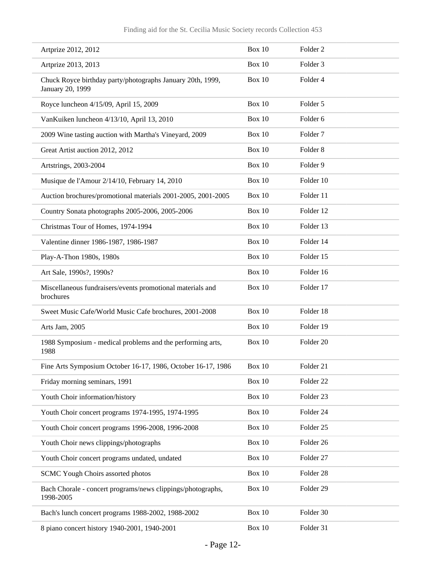| Artprize 2012, 2012                                                            | Box $10$      | Folder <sub>2</sub>  |
|--------------------------------------------------------------------------------|---------------|----------------------|
| Artprize 2013, 2013                                                            | Box 10        | Folder <sub>3</sub>  |
| Chuck Royce birthday party/photographs January 20th, 1999,<br>January 20, 1999 | Box $10$      | Folder 4             |
| Royce luncheon 4/15/09, April 15, 2009                                         | Box 10        | Folder 5             |
| VanKuiken luncheon 4/13/10, April 13, 2010                                     | Box 10        | Folder <sub>6</sub>  |
| 2009 Wine tasting auction with Martha's Vineyard, 2009                         | Box 10        | Folder <sub>7</sub>  |
| Great Artist auction 2012, 2012                                                | Box 10        | Folder <sub>8</sub>  |
| Artstrings, 2003-2004                                                          | Box 10        | Folder 9             |
| Musique de l'Amour 2/14/10, February 14, 2010                                  | Box 10        | Folder 10            |
| Auction brochures/promotional materials 2001-2005, 2001-2005                   | Box 10        | Folder 11            |
| Country Sonata photographs 2005-2006, 2005-2006                                | Box 10        | Folder 12            |
| Christmas Tour of Homes, 1974-1994                                             | Box 10        | Folder 13            |
| Valentine dinner 1986-1987, 1986-1987                                          | Box 10        | Folder 14            |
| Play-A-Thon 1980s, 1980s                                                       | Box 10        | Folder 15            |
| Art Sale, 1990s?, 1990s?                                                       | Box 10        | Folder 16            |
| Miscellaneous fundraisers/events promotional materials and<br>brochures        | Box 10        | Folder 17            |
| Sweet Music Cafe/World Music Cafe brochures, 2001-2008                         | Box 10        | Folder 18            |
| Arts Jam, 2005                                                                 | Box 10        | Folder 19            |
| 1988 Symposium - medical problems and the performing arts,<br>1988             | Box 10        | Folder 20            |
| Fine Arts Symposium October 16-17, 1986, October 16-17, 1986                   | Box $10$      | Folder 21            |
| Friday morning seminars, 1991                                                  | <b>Box 10</b> | Folder <sub>22</sub> |
| Youth Choir information/history                                                | <b>Box 10</b> | Folder 23            |
| Youth Choir concert programs 1974-1995, 1974-1995                              | Box 10        | Folder 24            |
| Youth Choir concert programs 1996-2008, 1996-2008                              | Box 10        | Folder 25            |
| Youth Choir news clippings/photographs                                         | Box 10        | Folder 26            |
| Youth Choir concert programs undated, undated                                  | <b>Box 10</b> | Folder 27            |
| SCMC Yough Choirs assorted photos                                              | <b>Box 10</b> | Folder 28            |
| Bach Chorale - concert programs/news clippings/photographs,<br>1998-2005       | <b>Box 10</b> | Folder 29            |
| Bach's lunch concert programs 1988-2002, 1988-2002                             | <b>Box 10</b> | Folder 30            |
| 8 piano concert history 1940-2001, 1940-2001                                   | <b>Box 10</b> | Folder 31            |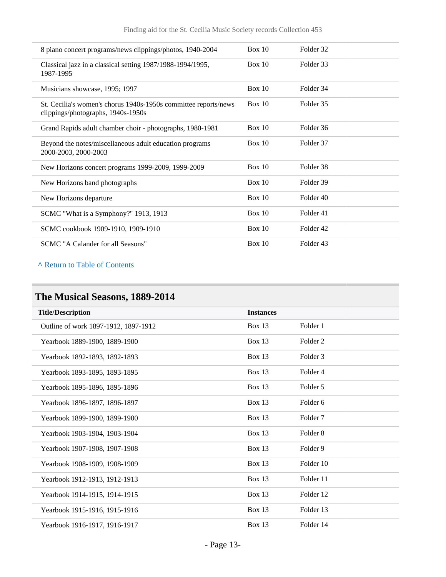| 8 piano concert programs/news clippings/photos, 1940-2004                                             | Box 10 | Folder 32            |
|-------------------------------------------------------------------------------------------------------|--------|----------------------|
| Classical jazz in a classical setting 1987/1988-1994/1995,<br>1987-1995                               | Box 10 | Folder 33            |
| Musicians showcase, 1995; 1997                                                                        | Box 10 | Folder 34            |
| St. Cecilia's women's chorus 1940s-1950s committee reports/news<br>clippings/photographs, 1940s-1950s | Box 10 | Folder 35            |
| Grand Rapids adult chamber choir - photographs, 1980-1981                                             | Box 10 | Folder 36            |
| Beyond the notes/miscellaneous adult education programs<br>2000-2003, 2000-2003                       | Box 10 | Folder 37            |
| New Horizons concert programs 1999-2009, 1999-2009                                                    | Box 10 | Folder <sub>38</sub> |
| New Horizons band photographs                                                                         | Box 10 | Folder 39            |
| New Horizons departure                                                                                | Box 10 | Folder 40            |
| SCMC "What is a Symphony?" 1913, 1913                                                                 | Box 10 | Folder 41            |
| SCMC cookbook 1909-1910, 1909-1910                                                                    | Box 10 | Folder <sub>42</sub> |
| SCMC "A Calander for all Seasons"                                                                     | Box 10 | Folder 43            |

## <span id="page-12-0"></span>**The Musical Seasons, 1889-2014**

| <b>Title/Description</b>             | <b>Instances</b> |                     |
|--------------------------------------|------------------|---------------------|
| Outline of work 1897-1912, 1897-1912 | Box 13           | Folder 1            |
| Yearbook 1889-1900, 1889-1900        | <b>Box 13</b>    | Folder <sub>2</sub> |
| Yearbook 1892-1893, 1892-1893        | Box 13           | Folder 3            |
| Yearbook 1893-1895, 1893-1895        | Box 13           | Folder 4            |
| Yearbook 1895-1896, 1895-1896        | Box 13           | Folder 5            |
| Yearbook 1896-1897, 1896-1897        | <b>Box 13</b>    | Folder 6            |
| Yearbook 1899-1900, 1899-1900        | Box 13           | Folder <sub>7</sub> |
| Yearbook 1903-1904, 1903-1904        | <b>Box 13</b>    | Folder <sub>8</sub> |
| Yearbook 1907-1908, 1907-1908        | Box 13           | Folder 9            |
| Yearbook 1908-1909, 1908-1909        | Box 13           | Folder 10           |
| Yearbook 1912-1913, 1912-1913        | <b>Box 13</b>    | Folder 11           |
| Yearbook 1914-1915, 1914-1915        | Box 13           | Folder 12           |
| Yearbook 1915-1916, 1915-1916        | Box 13           | Folder 13           |
| Yearbook 1916-1917, 1916-1917        | Box 13           | Folder 14           |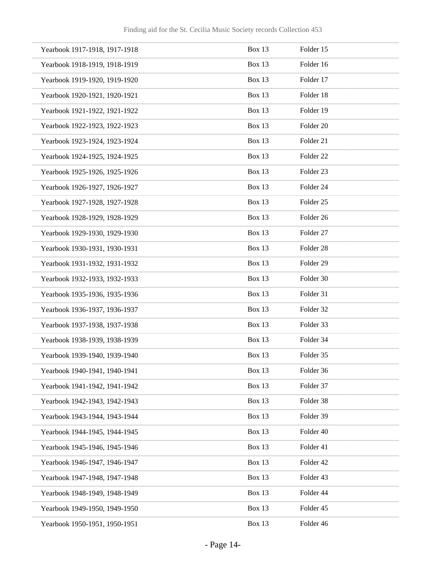| Yearbook 1917-1918, 1917-1918 | Box 13        | Folder 15            |
|-------------------------------|---------------|----------------------|
| Yearbook 1918-1919, 1918-1919 | Box 13        | Folder 16            |
| Yearbook 1919-1920, 1919-1920 | Box 13        | Folder 17            |
| Yearbook 1920-1921, 1920-1921 | Box 13        | Folder 18            |
| Yearbook 1921-1922, 1921-1922 | Box 13        | Folder 19            |
| Yearbook 1922-1923, 1922-1923 | Box 13        | Folder <sub>20</sub> |
| Yearbook 1923-1924, 1923-1924 | <b>Box 13</b> | Folder 21            |
| Yearbook 1924-1925, 1924-1925 | Box 13        | Folder <sub>22</sub> |
| Yearbook 1925-1926, 1925-1926 | Box 13        | Folder <sub>23</sub> |
| Yearbook 1926-1927, 1926-1927 | Box 13        | Folder 24            |
| Yearbook 1927-1928, 1927-1928 | Box 13        | Folder <sub>25</sub> |
| Yearbook 1928-1929, 1928-1929 | Box 13        | Folder 26            |
| Yearbook 1929-1930, 1929-1930 | Box 13        | Folder 27            |
| Yearbook 1930-1931, 1930-1931 | Box 13        | Folder <sub>28</sub> |
| Yearbook 1931-1932, 1931-1932 | Box 13        | Folder 29            |
| Yearbook 1932-1933, 1932-1933 | Box 13        | Folder 30            |
| Yearbook 1935-1936, 1935-1936 | Box 13        | Folder 31            |
| Yearbook 1936-1937, 1936-1937 | Box 13        | Folder 32            |
| Yearbook 1937-1938, 1937-1938 | Box 13        | Folder 33            |
| Yearbook 1938-1939, 1938-1939 | Box 13        | Folder 34            |
| Yearbook 1939-1940, 1939-1940 | Box 13        | Folder 35            |
| Yearbook 1940-1941, 1940-1941 | Box 13        | Folder 36            |
| Yearbook 1941-1942, 1941-1942 | Box 13        | Folder 37            |
| Yearbook 1942-1943, 1942-1943 | Box 13        | Folder 38            |
| Yearbook 1943-1944, 1943-1944 | Box 13        | Folder 39            |
| Yearbook 1944-1945, 1944-1945 | Box 13        | Folder 40            |
| Yearbook 1945-1946, 1945-1946 | Box 13        | Folder 41            |
| Yearbook 1946-1947, 1946-1947 | Box 13        | Folder 42            |
| Yearbook 1947-1948, 1947-1948 | Box 13        | Folder 43            |
| Yearbook 1948-1949, 1948-1949 | Box 13        | Folder 44            |
| Yearbook 1949-1950, 1949-1950 | Box 13        | Folder 45            |
| Yearbook 1950-1951, 1950-1951 | Box 13        | Folder 46            |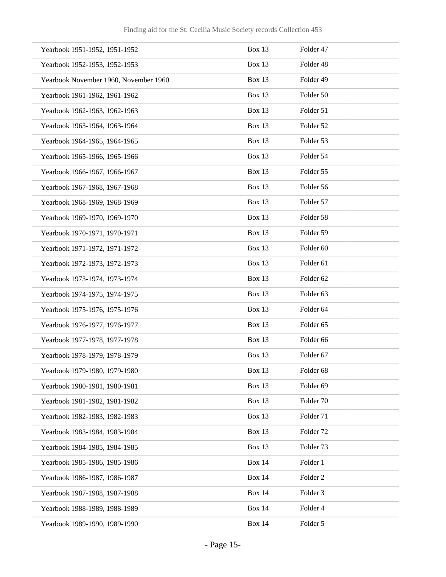| Yearbook 1951-1952, 1951-1952         | Box 13        | Folder 47            |
|---------------------------------------|---------------|----------------------|
| Yearbook 1952-1953, 1952-1953         | Box 13        | Folder 48            |
| Yearbook November 1960, November 1960 | <b>Box 13</b> | Folder 49            |
| Yearbook 1961-1962, 1961-1962         | Box 13        | Folder 50            |
| Yearbook 1962-1963, 1962-1963         | Box 13        | Folder 51            |
| Yearbook 1963-1964, 1963-1964         | Box 13        | Folder 52            |
| Yearbook 1964-1965, 1964-1965         | Box 13        | Folder 53            |
| Yearbook 1965-1966, 1965-1966         | Box 13        | Folder 54            |
| Yearbook 1966-1967, 1966-1967         | Box 13        | Folder 55            |
| Yearbook 1967-1968, 1967-1968         | Box 13        | Folder 56            |
| Yearbook 1968-1969, 1968-1969         | <b>Box 13</b> | Folder 57            |
| Yearbook 1969-1970, 1969-1970         | Box 13        | Folder 58            |
| Yearbook 1970-1971, 1970-1971         | Box 13        | Folder 59            |
| Yearbook 1971-1972, 1971-1972         | Box 13        | Folder <sub>60</sub> |
| Yearbook 1972-1973, 1972-1973         | Box 13        | Folder 61            |
| Yearbook 1973-1974, 1973-1974         | Box 13        | Folder <sub>62</sub> |
| Yearbook 1974-1975, 1974-1975         | Box 13        | Folder <sub>63</sub> |
| Yearbook 1975-1976, 1975-1976         | Box 13        | Folder 64            |
| Yearbook 1976-1977, 1976-1977         | <b>Box 13</b> | Folder <sub>65</sub> |
| Yearbook 1977-1978, 1977-1978         | Box 13        | Folder 66            |
| Yearbook 1978-1979, 1978-1979         | Box 13        | Folder 67            |
| Yearbook 1979-1980, 1979-1980         | Box 13        | Folder 68            |
| Yearbook 1980-1981, 1980-1981         | Box 13        | Folder 69            |
| Yearbook 1981-1982, 1981-1982         | Box 13        | Folder <sub>70</sub> |
| Yearbook 1982-1983, 1982-1983         | Box 13        | Folder 71            |
| Yearbook 1983-1984, 1983-1984         | Box 13        | Folder <sub>72</sub> |
| Yearbook 1984-1985, 1984-1985         | Box 13        | Folder <sub>73</sub> |
| Yearbook 1985-1986, 1985-1986         | <b>Box 14</b> | Folder 1             |
| Yearbook 1986-1987, 1986-1987         | <b>Box 14</b> | Folder <sub>2</sub>  |
| Yearbook 1987-1988, 1987-1988         | <b>Box 14</b> | Folder <sub>3</sub>  |
| Yearbook 1988-1989, 1988-1989         | <b>Box 14</b> | Folder 4             |
| Yearbook 1989-1990, 1989-1990         | <b>Box 14</b> | Folder 5             |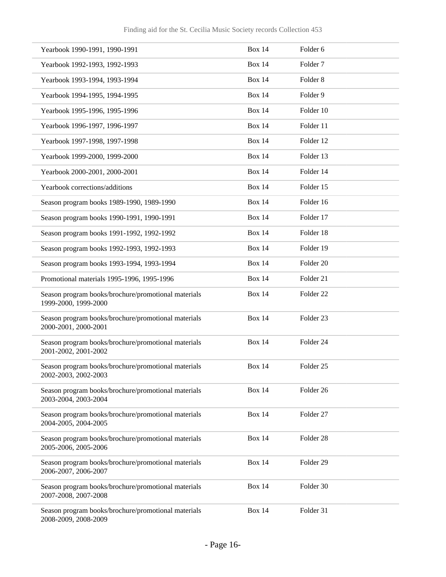| Yearbook 1990-1991, 1990-1991                                               | <b>Box 14</b> | Folder 6             |
|-----------------------------------------------------------------------------|---------------|----------------------|
| Yearbook 1992-1993, 1992-1993                                               | <b>Box 14</b> | Folder <sub>7</sub>  |
| Yearbook 1993-1994, 1993-1994                                               | <b>Box 14</b> | Folder <sub>8</sub>  |
| Yearbook 1994-1995, 1994-1995                                               | <b>Box 14</b> | Folder 9             |
| Yearbook 1995-1996, 1995-1996                                               | <b>Box 14</b> | Folder 10            |
| Yearbook 1996-1997, 1996-1997                                               | <b>Box 14</b> | Folder 11            |
| Yearbook 1997-1998, 1997-1998                                               | <b>Box 14</b> | Folder 12            |
| Yearbook 1999-2000, 1999-2000                                               | <b>Box 14</b> | Folder 13            |
| Yearbook 2000-2001, 2000-2001                                               | <b>Box 14</b> | Folder 14            |
| Yearbook corrections/additions                                              | <b>Box 14</b> | Folder 15            |
| Season program books 1989-1990, 1989-1990                                   | <b>Box 14</b> | Folder 16            |
| Season program books 1990-1991, 1990-1991                                   | <b>Box 14</b> | Folder 17            |
| Season program books 1991-1992, 1992-1992                                   | <b>Box 14</b> | Folder 18            |
| Season program books 1992-1993, 1992-1993                                   | <b>Box 14</b> | Folder 19            |
| Season program books 1993-1994, 1993-1994                                   | <b>Box 14</b> | Folder <sub>20</sub> |
| Promotional materials 1995-1996, 1995-1996                                  | <b>Box 14</b> | Folder 21            |
| Season program books/brochure/promotional materials<br>1999-2000, 1999-2000 | <b>Box 14</b> | Folder <sub>22</sub> |
| Season program books/brochure/promotional materials<br>2000-2001, 2000-2001 | <b>Box 14</b> | Folder <sub>23</sub> |
| Season program books/brochure/promotional materials<br>2001-2002, 2001-2002 | <b>Box 14</b> | Folder 24            |
| Season program books/brochure/promotional materials<br>2002-2003, 2002-2003 | <b>Box 14</b> | Folder 25            |
| Season program books/brochure/promotional materials<br>2003-2004, 2003-2004 | <b>Box 14</b> | Folder 26            |
| Season program books/brochure/promotional materials<br>2004-2005, 2004-2005 | <b>Box 14</b> | Folder 27            |
| Season program books/brochure/promotional materials<br>2005-2006, 2005-2006 | <b>Box 14</b> | Folder 28            |
| Season program books/brochure/promotional materials<br>2006-2007, 2006-2007 | <b>Box 14</b> | Folder 29            |
| Season program books/brochure/promotional materials<br>2007-2008, 2007-2008 | <b>Box 14</b> | Folder 30            |
| Season program books/brochure/promotional materials<br>2008-2009, 2008-2009 | <b>Box 14</b> | Folder 31            |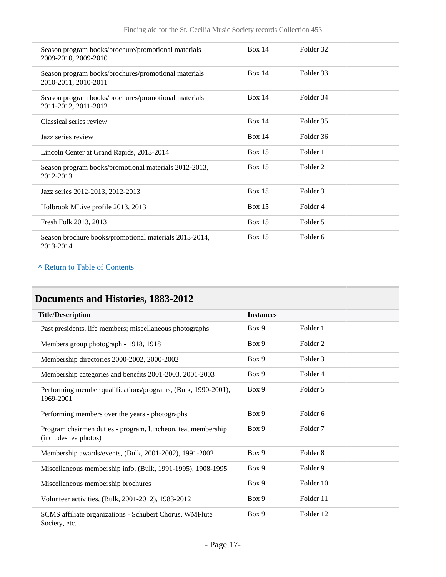| Season program books/brochure/promotional materials<br>2009-2010, 2009-2010  | Box 14        | Folder 32 |  |
|------------------------------------------------------------------------------|---------------|-----------|--|
| Season program books/brochures/promotional materials<br>2010-2011, 2010-2011 | <b>Box 14</b> | Folder 33 |  |
| Season program books/brochures/promotional materials<br>2011-2012, 2011-2012 | <b>Box 14</b> | Folder 34 |  |
| Classical series review                                                      | <b>Box 14</b> | Folder 35 |  |
| Jazz series review                                                           | <b>Box 14</b> | Folder 36 |  |
| Lincoln Center at Grand Rapids, 2013-2014                                    | Box $15$      | Folder 1  |  |
| Season program books/promotional materials 2012-2013,<br>2012-2013           | <b>Box 15</b> | Folder 2  |  |
| Jazz series 2012-2013, 2012-2013                                             | Box $15$      | Folder 3  |  |
| Holbrook MLive profile 2013, 2013                                            | Box $15$      | Folder 4  |  |
| Fresh Folk 2013, 2013                                                        | Box $15$      | Folder 5  |  |
| Season brochure books/promotional materials 2013-2014,<br>2013-2014          | Box $15$      | Folder 6  |  |

## <span id="page-16-0"></span>**Documents and Histories, 1883-2012**

| <b>Title/Description</b>                                                              | <b>Instances</b> |                     |
|---------------------------------------------------------------------------------------|------------------|---------------------|
| Past presidents, life members; miscellaneous photographs                              | Box 9            | Folder 1            |
| Members group photograph - 1918, 1918                                                 | Box 9            | Folder <sub>2</sub> |
| Membership directories 2000-2002, 2000-2002                                           | Box 9            | Folder <sub>3</sub> |
| Membership categories and benefits 2001-2003, 2001-2003                               | Box 9            | Folder <sub>4</sub> |
| Performing member qualifications/programs, (Bulk, 1990-2001),<br>1969-2001            | Box 9            | Folder 5            |
| Performing members over the years - photographs                                       | Box 9            | Folder <sub>6</sub> |
| Program chairmen duties - program, luncheon, tea, membership<br>(includes tea photos) | Box 9            | Folder <sub>7</sub> |
| Membership awards/events, (Bulk, 2001-2002), 1991-2002                                | Box 9            | Folder <sub>8</sub> |
| Miscellaneous membership info, (Bulk, 1991-1995), 1908-1995                           | Box 9            | Folder 9            |
| Miscellaneous membership brochures                                                    | Box 9            | Folder 10           |
| Volunteer activities, (Bulk, 2001-2012), 1983-2012                                    | Box 9            | Folder 11           |
| SCMS affiliate organizations - Schubert Chorus, WMFlute<br>Society, etc.              | Box 9            | Folder 12           |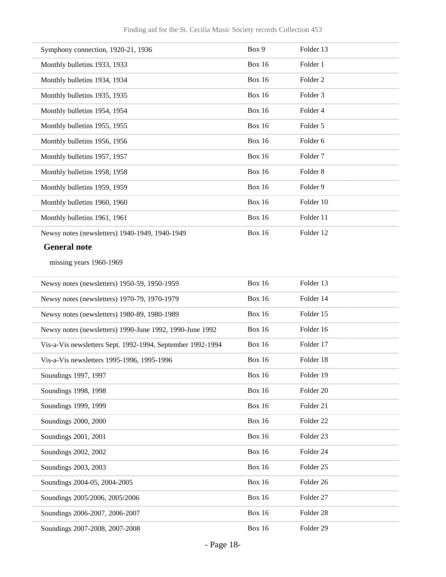| Symphony connection, 1920-21, 1936                         | Box 9         | Folder 13            |
|------------------------------------------------------------|---------------|----------------------|
| Monthly bulletins 1933, 1933                               | <b>Box 16</b> | Folder 1             |
| Monthly bulletins 1934, 1934                               | <b>Box 16</b> | Folder <sub>2</sub>  |
| Monthly bulletins 1935, 1935                               | <b>Box 16</b> | Folder <sub>3</sub>  |
| Monthly bulletins 1954, 1954                               | <b>Box 16</b> | Folder 4             |
| Monthly bulletins 1955, 1955                               | <b>Box 16</b> | Folder 5             |
| Monthly bulletins 1956, 1956                               | <b>Box 16</b> | Folder 6             |
| Monthly bulletins 1957, 1957                               | <b>Box 16</b> | Folder <sub>7</sub>  |
| Monthly bulletins 1958, 1958                               | <b>Box 16</b> | Folder <sub>8</sub>  |
| Monthly bulletins 1959, 1959                               | <b>Box 16</b> | Folder 9             |
| Monthly bulletins 1960, 1960                               | <b>Box 16</b> | Folder 10            |
| Monthly bulletins 1961, 1961                               | <b>Box 16</b> | Folder 11            |
| Newsy notes (newsletters) 1940-1949, 1940-1949             | <b>Box 16</b> | Folder 12            |
| <b>General note</b>                                        |               |                      |
| missing years 1960-1969                                    |               |                      |
| Newsy notes (newsletters) 1950-59, 1950-1959               | <b>Box 16</b> | Folder 13            |
| Newsy notes (newsletters) 1970-79, 1970-1979               | <b>Box 16</b> | Folder 14            |
| Newsy notes (newsletters) 1980-89, 1980-1989               | <b>Box 16</b> | Folder 15            |
| Newsy notes (newsletters) 1990-June 1992, 1990-June 1992   | <b>Box 16</b> | Folder 16            |
| Vis-a-Vis newsletters Sept. 1992-1994, September 1992-1994 | <b>Box 16</b> | Folder 17            |
| Vis-a-Vis newsletters 1995-1996, 1995-1996                 | <b>Box 16</b> | Folder 18            |
| Soundings 1997, 1997                                       | <b>Box 16</b> | Folder 19            |
| Soundings 1998, 1998                                       | <b>Box 16</b> | Folder 20            |
| Soundings 1999, 1999                                       | <b>Box 16</b> | Folder 21            |
| Soundings 2000, 2000                                       | <b>Box 16</b> | Folder 22            |
| Soundings 2001, 2001                                       | <b>Box 16</b> | Folder 23            |
| Soundings 2002, 2002                                       | <b>Box 16</b> | Folder 24            |
| Soundings 2003, 2003                                       | <b>Box 16</b> | Folder 25            |
| Soundings 2004-05, 2004-2005                               | <b>Box 16</b> | Folder 26            |
| Soundings 2005/2006, 2005/2006                             | <b>Box 16</b> | Folder 27            |
| Soundings 2006-2007, 2006-2007                             | <b>Box 16</b> | Folder <sub>28</sub> |
| Soundings 2007-2008, 2007-2008                             | <b>Box 16</b> | Folder 29            |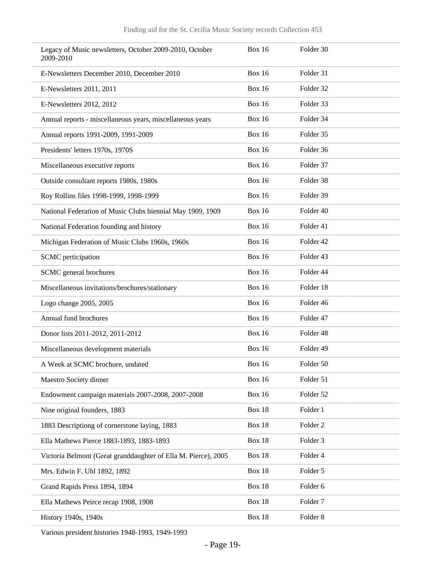| Legacy of Music newsletters, October 2009-2010, October<br>2009-2010 | <b>Box 16</b> | Folder 30           |
|----------------------------------------------------------------------|---------------|---------------------|
| E-Newsletters December 2010, December 2010                           | Box $16$      | Folder 31           |
| E-Newsletters 2011, 2011                                             | <b>Box 16</b> | Folder 32           |
| E-Newsletters 2012, 2012                                             | <b>Box 16</b> | Folder 33           |
| Annual reports - miscellaneous years, miscellaneous years            | Box $16$      | Folder 34           |
| Annual reports 1991-2009, 1991-2009                                  | <b>Box 16</b> | Folder 35           |
| Presidents' letters 1970s, 1970S                                     | <b>Box 16</b> | Folder 36           |
| Miscellaneous executive reports                                      | <b>Box 16</b> | Folder 37           |
| Outside consultant reports 1980s, 1980s                              | <b>Box 16</b> | Folder 38           |
| Roy Rollins files 1998-1999, 1998-1999                               | Box $16$      | Folder 39           |
| National Federation of Music Clubs biennial May 1909, 1909           | <b>Box 16</b> | Folder 40           |
| National Federation founding and history                             | <b>Box 16</b> | Folder 41           |
| Michigan Federation of Music Clubs 1960s, 1960s                      | <b>Box 16</b> | Folder 42           |
| SCMC perticipation                                                   | Box $16$      | Folder 43           |
| SCMC general brochures                                               | <b>Box 16</b> | Folder 44           |
| Miscellaneous invitations/brochures/stationary                       | <b>Box 16</b> | Folder 18           |
| Logo change 2005, 2005                                               | <b>Box 16</b> | Folder 46           |
| Annual fund brochures                                                | Box $16$      | Folder 47           |
| Donor lists 2011-2012, 2011-2012                                     | <b>Box 16</b> | Folder 48           |
| Miscellaneous development materials                                  | <b>Box 16</b> | Folder 49           |
| A Week at SCMC brochure, undated                                     | <b>Box 16</b> | Folder 50           |
| Maestro Society dinner                                               | <b>Box 16</b> | Folder 51           |
| Endowment campaign materials 2007-2008, 2007-2008                    | <b>Box 16</b> | Folder 52           |
| Nine original founders, 1883                                         | <b>Box 18</b> | Folder 1            |
| 1883 Descriptiong of cornerstone laying, 1883                        | <b>Box 18</b> | Folder <sub>2</sub> |
| Ella Mathews Pierce 1883-1893, 1883-1893                             | <b>Box 18</b> | Folder 3            |
| Victoria Belmont (Great granddaughter of Ella M. Pierce), 2005       | <b>Box 18</b> | Folder 4            |
| Mrs. Edwin F. Uhl 1892, 1892                                         | Box 18        | Folder 5            |
| Grand Rapids Press 1894, 1894                                        | Box 18        | Folder 6            |
| Ella Mathews Peirce recap 1908, 1908                                 | <b>Box 18</b> | Folder <sub>7</sub> |
| History 1940s, 1940s                                                 | <b>Box 18</b> | Folder 8            |

Various president histories 1948-1993, 1949-1993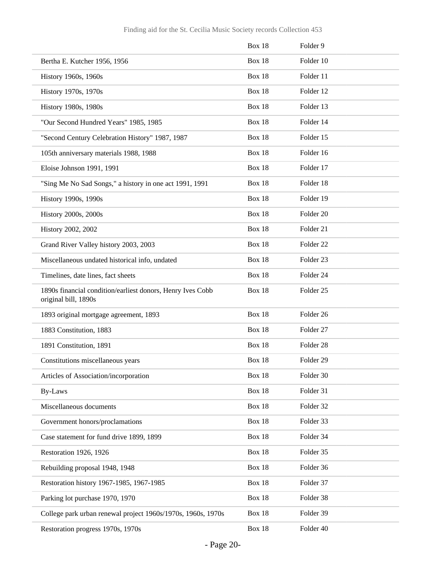|                                                                                    | <b>Box 18</b> | Folder 9             |
|------------------------------------------------------------------------------------|---------------|----------------------|
| Bertha E. Kutcher 1956, 1956                                                       | Box 18        | Folder 10            |
| History 1960s, 1960s                                                               | Box 18        | Folder 11            |
| History 1970s, 1970s                                                               | Box 18        | Folder 12            |
| History 1980s, 1980s                                                               | Box 18        | Folder 13            |
| "Our Second Hundred Years" 1985, 1985                                              | Box 18        | Folder 14            |
| "Second Century Celebration History" 1987, 1987                                    | Box 18        | Folder 15            |
| 105th anniversary materials 1988, 1988                                             | Box 18        | Folder 16            |
| Eloise Johnson 1991, 1991                                                          | Box 18        | Folder 17            |
| "Sing Me No Sad Songs," a history in one act 1991, 1991                            | Box 18        | Folder 18            |
| History 1990s, 1990s                                                               | Box 18        | Folder 19            |
| History 2000s, 2000s                                                               | Box 18        | Folder 20            |
| History 2002, 2002                                                                 | Box 18        | Folder 21            |
| Grand River Valley history 2003, 2003                                              | Box 18        | Folder <sub>22</sub> |
| Miscellaneous undated historical info, undated                                     | Box 18        | Folder <sub>23</sub> |
| Timelines, date lines, fact sheets                                                 | Box 18        | Folder 24            |
| 1890s financial condition/earliest donors, Henry Ives Cobb<br>original bill, 1890s | <b>Box 18</b> | Folder <sub>25</sub> |
| 1893 original mortgage agreement, 1893                                             | Box 18        | Folder 26            |
| 1883 Constitution, 1883                                                            | Box 18        | Folder <sub>27</sub> |
| 1891 Constitution, 1891                                                            | Box 18        | Folder <sub>28</sub> |
| Constitutions miscellaneous years                                                  | Box 18        | Folder 29            |
| Articles of Association/incorporation                                              | Box 18        | Folder 30            |
| <b>By-Laws</b>                                                                     | <b>Box 18</b> | Folder 31            |
| Miscellaneous documents                                                            | Box 18        | Folder 32            |
| Government honors/proclamations                                                    | Box 18        | Folder 33            |
| Case statement for fund drive 1899, 1899                                           | <b>Box 18</b> | Folder 34            |
| Restoration 1926, 1926                                                             | <b>Box 18</b> | Folder 35            |
| Rebuilding proposal 1948, 1948                                                     | Box 18        | Folder 36            |
| Restoration history 1967-1985, 1967-1985                                           | Box 18        | Folder 37            |
| Parking lot purchase 1970, 1970                                                    | <b>Box 18</b> | Folder 38            |
| College park urban renewal project 1960s/1970s, 1960s, 1970s                       | <b>Box 18</b> | Folder 39            |
| Restoration progress 1970s, 1970s                                                  | Box 18        | Folder 40            |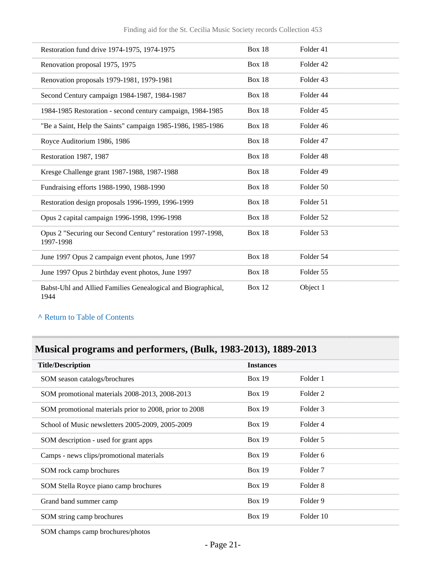| Restoration fund drive 1974-1975, 1974-1975                              | Box 18        | Folder 41            |
|--------------------------------------------------------------------------|---------------|----------------------|
| Renovation proposal 1975, 1975                                           | <b>Box 18</b> | Folder <sub>42</sub> |
| Renovation proposals 1979-1981, 1979-1981                                | Box 18        | Folder <sub>43</sub> |
| Second Century campaign 1984-1987, 1984-1987                             | <b>Box 18</b> | Folder 44            |
| 1984-1985 Restoration - second century campaign, 1984-1985               | Box 18        | Folder 45            |
| "Be a Saint, Help the Saints" campaign 1985-1986, 1985-1986              | <b>Box 18</b> | Folder 46            |
| Royce Auditorium 1986, 1986                                              | Box $18$      | Folder 47            |
| Restoration 1987, 1987                                                   | Box 18        | Folder 48            |
| Kresge Challenge grant 1987-1988, 1987-1988                              | Box 18        | Folder 49            |
| Fundraising efforts 1988-1990, 1988-1990                                 | <b>Box 18</b> | Folder 50            |
| Restoration design proposals 1996-1999, 1996-1999                        | Box 18        | Folder 51            |
| Opus 2 capital campaign 1996-1998, 1996-1998                             | <b>Box 18</b> | Folder 52            |
| Opus 2 "Securing our Second Century" restoration 1997-1998,<br>1997-1998 | <b>Box 18</b> | Folder 53            |
| June 1997 Opus 2 campaign event photos, June 1997                        | <b>Box 18</b> | Folder 54            |
| June 1997 Opus 2 birthday event photos, June 1997                        | <b>Box 18</b> | Folder 55            |
| Babst-Uhl and Allied Families Genealogical and Biographical,<br>1944     | <b>Box 12</b> | Object 1             |

## <span id="page-20-0"></span>**Musical programs and performers, (Bulk, 1983-2013), 1889-2013**

| <b>Title/Description</b>                               | <b>Instances</b> |                     |
|--------------------------------------------------------|------------------|---------------------|
| SOM season catalogs/brochures                          | Box 19           | Folder 1            |
| SOM promotional materials 2008-2013, 2008-2013         | Box 19           | Folder <sub>2</sub> |
| SOM promotional materials prior to 2008, prior to 2008 | Box 19           | Folder 3            |
| School of Music newsletters 2005-2009, 2005-2009       | Box 19           | Folder 4            |
| SOM description - used for grant apps                  | Box 19           | Folder 5            |
| Camps - news clips/promotional materials               | <b>Box 19</b>    | Folder 6            |
| SOM rock camp brochures                                | <b>Box 19</b>    | Folder <sub>7</sub> |
| SOM Stella Royce piano camp brochures                  | <b>Box 19</b>    | Folder 8            |
| Grand band summer camp                                 | <b>Box 19</b>    | Folder 9            |
| SOM string camp brochures                              | <b>Box 19</b>    | Folder 10           |
|                                                        |                  |                     |

SOM champs camp brochures/photos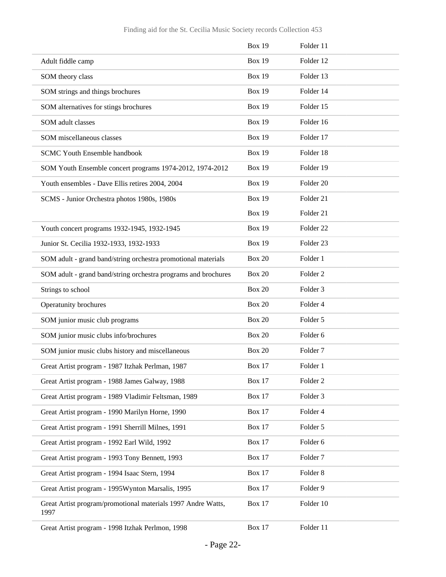|                                                                      | <b>Box 19</b> | Folder 11            |
|----------------------------------------------------------------------|---------------|----------------------|
| Adult fiddle camp                                                    | <b>Box 19</b> | Folder 12            |
| SOM theory class                                                     | <b>Box 19</b> | Folder 13            |
| SOM strings and things brochures                                     | <b>Box 19</b> | Folder 14            |
| SOM alternatives for stings brochures                                | <b>Box 19</b> | Folder 15            |
| SOM adult classes                                                    | <b>Box 19</b> | Folder 16            |
| SOM miscellaneous classes                                            | <b>Box 19</b> | Folder 17            |
| <b>SCMC Youth Ensemble handbook</b>                                  | <b>Box 19</b> | Folder 18            |
| SOM Youth Ensemble concert programs 1974-2012, 1974-2012             | <b>Box 19</b> | Folder 19            |
| Youth ensembles - Dave Ellis retires 2004, 2004                      | <b>Box 19</b> | Folder <sub>20</sub> |
| SCMS - Junior Orchestra photos 1980s, 1980s                          | <b>Box 19</b> | Folder 21            |
|                                                                      | <b>Box 19</b> | Folder 21            |
| Youth concert programs 1932-1945, 1932-1945                          | <b>Box 19</b> | Folder <sub>22</sub> |
| Junior St. Cecilia 1932-1933, 1932-1933                              | <b>Box 19</b> | Folder 23            |
| SOM adult - grand band/string orchestra promotional materials        | <b>Box 20</b> | Folder 1             |
| SOM adult - grand band/string orchestra programs and brochures       | <b>Box 20</b> | Folder <sub>2</sub>  |
| Strings to school                                                    | <b>Box 20</b> | Folder <sub>3</sub>  |
| Operatunity brochures                                                | <b>Box 20</b> | Folder 4             |
| SOM junior music club programs                                       | <b>Box 20</b> | Folder 5             |
| SOM junior music clubs info/brochures                                | <b>Box 20</b> | Folder 6             |
| SOM junior music clubs history and miscellaneous                     | <b>Box 20</b> | Folder <sub>7</sub>  |
| Great Artist program - 1987 Itzhak Perlman, 1987                     | Box 17        | Folder 1             |
| Great Artist program - 1988 James Galway, 1988                       | <b>Box 17</b> | Folder <sub>2</sub>  |
| Great Artist program - 1989 Vladimir Feltsman, 1989                  | <b>Box 17</b> | Folder 3             |
| Great Artist program - 1990 Marilyn Horne, 1990                      | <b>Box 17</b> | Folder 4             |
| Great Artist program - 1991 Sherrill Milnes, 1991                    | <b>Box 17</b> | Folder 5             |
| Great Artist program - 1992 Earl Wild, 1992                          | <b>Box 17</b> | Folder 6             |
| Great Artist program - 1993 Tony Bennett, 1993                       | <b>Box 17</b> | Folder <sub>7</sub>  |
| Great Artist program - 1994 Isaac Stern, 1994                        | <b>Box 17</b> | Folder <sub>8</sub>  |
| Great Artist program - 1995Wynton Marsalis, 1995                     | <b>Box 17</b> | Folder 9             |
| Great Artist program/promotional materials 1997 Andre Watts,<br>1997 | <b>Box 17</b> | Folder 10            |
| Great Artist program - 1998 Itzhak Perlmon, 1998                     | <b>Box 17</b> | Folder 11            |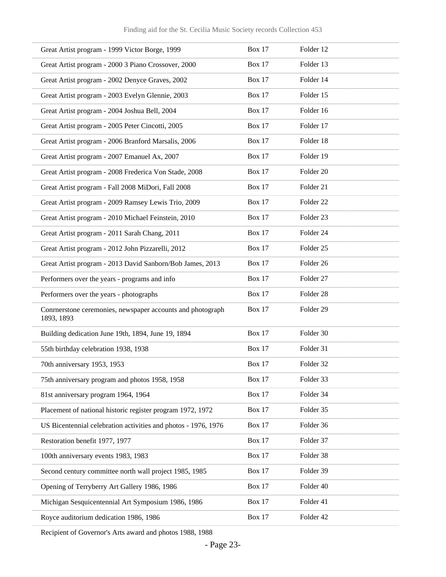| Great Artist program - 1999 Victor Borge, 1999                           | <b>Box 17</b> | Folder 12            |
|--------------------------------------------------------------------------|---------------|----------------------|
| Great Artist program - 2000 3 Piano Crossover, 2000                      | <b>Box 17</b> | Folder 13            |
| Great Artist program - 2002 Denyce Graves, 2002                          | <b>Box 17</b> | Folder 14            |
| Great Artist program - 2003 Evelyn Glennie, 2003                         | <b>Box 17</b> | Folder 15            |
| Great Artist program - 2004 Joshua Bell, 2004                            | <b>Box 17</b> | Folder 16            |
| Great Artist program - 2005 Peter Cincotti, 2005                         | <b>Box 17</b> | Folder 17            |
| Great Artist program - 2006 Branford Marsalis, 2006                      | <b>Box 17</b> | Folder 18            |
| Great Artist program - 2007 Emanuel Ax, 2007                             | <b>Box 17</b> | Folder 19            |
| Great Artist program - 2008 Frederica Von Stade, 2008                    | <b>Box 17</b> | Folder 20            |
| Great Artist program - Fall 2008 MiDori, Fall 2008                       | <b>Box 17</b> | Folder 21            |
| Great Artist program - 2009 Ramsey Lewis Trio, 2009                      | <b>Box 17</b> | Folder <sub>22</sub> |
| Great Artist program - 2010 Michael Feinstein, 2010                      | <b>Box 17</b> | Folder 23            |
| Great Artist program - 2011 Sarah Chang, 2011                            | <b>Box 17</b> | Folder 24            |
| Great Artist program - 2012 John Pizzarelli, 2012                        | <b>Box 17</b> | Folder <sub>25</sub> |
| Great Artist program - 2013 David Sanborn/Bob James, 2013                | <b>Box 17</b> | Folder 26            |
| Performers over the years - programs and info                            | <b>Box 17</b> | Folder 27            |
| Performers over the years - photographs                                  | <b>Box 17</b> | Folder 28            |
| Conrnerstone ceremonies, newspaper accounts and photograph<br>1893, 1893 | <b>Box 17</b> | Folder 29            |
| Building dedication June 19th, 1894, June 19, 1894                       | Box 17        | Folder 30            |
| 55th birthday celebration 1938, 1938                                     | Box 17        | Folder 31            |
| 70th anniversary 1953, 1953                                              | <b>Box 17</b> | Folder 32            |
| 75th anniversary program and photos 1958, 1958                           | Box 17        | Folder 33            |
| 81st anniversary program 1964, 1964                                      | <b>Box 17</b> | Folder 34            |
| Placement of national historic register program 1972, 1972               | <b>Box 17</b> | Folder 35            |
| US Bicentennial celebration activities and photos - 1976, 1976           | <b>Box 17</b> | Folder 36            |
| Restoration benefit 1977, 1977                                           | <b>Box 17</b> | Folder 37            |
| 100th anniversary events 1983, 1983                                      | <b>Box 17</b> | Folder 38            |
| Second century committee north wall project 1985, 1985                   | <b>Box 17</b> | Folder 39            |
| Opening of Terryberry Art Gallery 1986, 1986                             | Box 17        | Folder 40            |
| Michigan Sesquicentennial Art Symposium 1986, 1986                       | <b>Box 17</b> | Folder 41            |
| Royce auditorium dedication 1986, 1986                                   | <b>Box 17</b> | Folder 42            |

Recipient of Governor's Arts award and photos 1988, 1988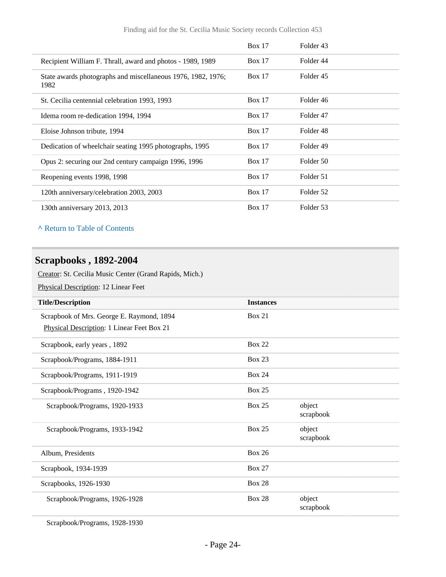|                                                                      | Box 17        | Folder 43 |
|----------------------------------------------------------------------|---------------|-----------|
| Recipient William F. Thrall, award and photos - 1989, 1989           | Box 17        | Folder 44 |
| State awards photographs and miscellaneous 1976, 1982, 1976;<br>1982 | Box 17        | Folder 45 |
| St. Cecilia centennial celebration 1993, 1993                        | Box 17        | Folder 46 |
| Idema room re-dedication 1994, 1994                                  | Box 17        | Folder 47 |
| Eloise Johnson tribute, 1994                                         | Box 17        | Folder 48 |
| Dedication of wheelchair seating 1995 photographs, 1995              | Box 17        | Folder 49 |
| Opus 2: securing our 2nd century campaign 1996, 1996                 | Box 17        | Folder 50 |
| Reopening events 1998, 1998                                          | Box 17        | Folder 51 |
| 120th anniversary/celebration 2003, 2003                             | <b>Box 17</b> | Folder 52 |
| 130th anniversary 2013, 2013                                         | Box 17        | Folder 53 |

### <span id="page-23-0"></span>**Scrapbooks , 1892-2004**

Creator: St. Cecilia Music Center (Grand Rapids, Mich.)

Physical Description: 12 Linear Feet

| <b>Title/Description</b>                   | <b>Instances</b> |                     |
|--------------------------------------------|------------------|---------------------|
| Scrapbook of Mrs. George E. Raymond, 1894  | <b>Box 21</b>    |                     |
| Physical Description: 1 Linear Feet Box 21 |                  |                     |
| Scrapbook, early years, 1892               | <b>Box 22</b>    |                     |
| Scrapbook/Programs, 1884-1911              | <b>Box 23</b>    |                     |
| Scrapbook/Programs, 1911-1919              | <b>Box 24</b>    |                     |
| Scrapbook/Programs, 1920-1942              | <b>Box 25</b>    |                     |
| Scrapbook/Programs, 1920-1933              | <b>Box 25</b>    | object<br>scrapbook |
| Scrapbook/Programs, 1933-1942              | <b>Box 25</b>    | object<br>scrapbook |
| Album, Presidents                          | <b>Box 26</b>    |                     |
| Scrapbook, 1934-1939                       | <b>Box 27</b>    |                     |
| Scrapbooks, 1926-1930                      | <b>Box 28</b>    |                     |
| Scrapbook/Programs, 1926-1928              | <b>Box 28</b>    | object<br>scrapbook |

Scrapbook/Programs, 1928-1930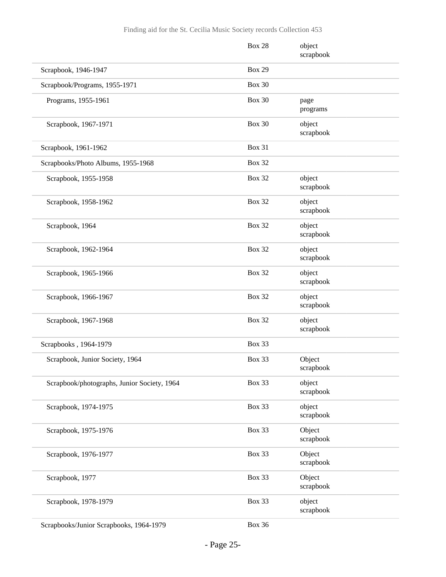|                                             | <b>Box 28</b> | object<br>scrapbook |
|---------------------------------------------|---------------|---------------------|
| Scrapbook, 1946-1947                        | <b>Box 29</b> |                     |
| Scrapbook/Programs, 1955-1971               | <b>Box 30</b> |                     |
| Programs, 1955-1961                         | <b>Box 30</b> | page<br>programs    |
| Scrapbook, 1967-1971                        | <b>Box 30</b> | object<br>scrapbook |
| Scrapbook, 1961-1962                        | <b>Box 31</b> |                     |
| Scrapbooks/Photo Albums, 1955-1968          | <b>Box 32</b> |                     |
| Scrapbook, 1955-1958                        | <b>Box 32</b> | object<br>scrapbook |
| Scrapbook, 1958-1962                        | <b>Box 32</b> | object<br>scrapbook |
| Scrapbook, 1964                             | <b>Box 32</b> | object<br>scrapbook |
| Scrapbook, 1962-1964                        | <b>Box 32</b> | object<br>scrapbook |
| Scrapbook, 1965-1966                        | <b>Box 32</b> | object<br>scrapbook |
| Scrapbook, 1966-1967                        | <b>Box 32</b> | object<br>scrapbook |
| Scrapbook, 1967-1968                        | <b>Box 32</b> | object<br>scrapbook |
| Scrapbooks, 1964-1979                       | <b>Box 33</b> |                     |
| Scrapbook, Junior Society, 1964             | <b>Box 33</b> | Object<br>scrapbook |
| Scrapbook/photographs, Junior Society, 1964 | Box 33        | object<br>scrapbook |
| Scrapbook, 1974-1975                        | Box 33        | object<br>scrapbook |
| Scrapbook, 1975-1976                        | Box 33        | Object<br>scrapbook |
| Scrapbook, 1976-1977                        | <b>Box 33</b> | Object<br>scrapbook |
| Scrapbook, 1977                             | <b>Box 33</b> | Object<br>scrapbook |
| Scrapbook, 1978-1979                        | Box 33        | object<br>scrapbook |
|                                             |               |                     |

Scrapbooks/Junior Scrapbooks, 1964-1979 Box 36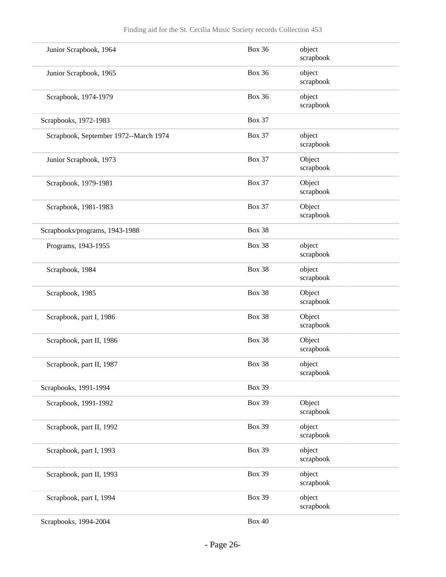| Junior Scrapbook, 1964                | <b>Box 36</b> | object<br>scrapbook |
|---------------------------------------|---------------|---------------------|
| Junior Scrapbook, 1965                | <b>Box 36</b> | object<br>scrapbook |
| Scrapbook, 1974-1979                  | <b>Box 36</b> | object<br>scrapbook |
| Scrapbooks, 1972-1983                 | <b>Box 37</b> |                     |
| Scrapbook, September 1972--March 1974 | <b>Box 37</b> | object<br>scrapbook |
| Junior Scrapbook, 1973                | <b>Box 37</b> | Object<br>scrapbook |
| Scrapbook, 1979-1981                  | <b>Box 37</b> | Object<br>scrapbook |
| Scrapbook, 1981-1983                  | <b>Box 37</b> | Object<br>scrapbook |
| Scrapbooks/programs, 1943-1988        | <b>Box 38</b> |                     |
| Programs, 1943-1955                   | Box 38        | object<br>scrapbook |
| Scrapbook, 1984                       | Box 38        | object<br>scrapbook |
| Scrapbook, 1985                       | Box 38        | Object<br>scrapbook |
| Scrapbook, part I, 1986               | Box 38        | Object<br>scrapbook |
| Scrapbook, part II, 1986              | <b>Box 38</b> | Object<br>scrapbook |
| Scrapbook, part II, 1987              | Box 38        | object<br>scrapbook |
| Scrapbooks, 1991-1994                 | <b>Box 39</b> |                     |
| Scrapbook, 1991-1992                  | <b>Box 39</b> | Object<br>scrapbook |
| Scrapbook, part II, 1992              | <b>Box 39</b> | object<br>scrapbook |
| Scrapbook, part I, 1993               | <b>Box 39</b> | object<br>scrapbook |
| Scrapbook, part II, 1993              | <b>Box 39</b> | object<br>scrapbook |
| Scrapbook, part I, 1994               | <b>Box 39</b> | object<br>scrapbook |
| Scrapbooks, 1994-2004                 | <b>Box 40</b> |                     |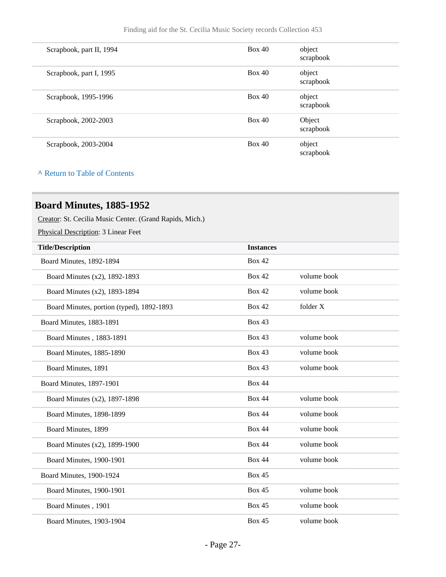| Box 40<br>object<br>Scrapbook, part II, 1994<br>scrapbook<br>Box 40<br>object<br>Scrapbook, part I, 1995<br>scrapbook<br>Box 40<br>object<br>Scrapbook, 1995-1996<br>scrapbook<br>Box 40<br>Object<br>Scrapbook, 2002-2003<br>scrapbook<br>Box 40<br>object<br>Scrapbook, 2003-2004<br>scrapbook |  |  |
|--------------------------------------------------------------------------------------------------------------------------------------------------------------------------------------------------------------------------------------------------------------------------------------------------|--|--|
|                                                                                                                                                                                                                                                                                                  |  |  |
|                                                                                                                                                                                                                                                                                                  |  |  |
|                                                                                                                                                                                                                                                                                                  |  |  |
|                                                                                                                                                                                                                                                                                                  |  |  |
|                                                                                                                                                                                                                                                                                                  |  |  |

## <span id="page-26-0"></span>**Board Minutes, 1885-1952**

Creator: St. Cecilia Music Center. (Grand Rapids, Mich.)

Physical Description: 3 Linear Feet

| <b>Title/Description</b>                  | <b>Instances</b> |             |
|-------------------------------------------|------------------|-------------|
| Board Minutes, 1892-1894                  | <b>Box 42</b>    |             |
| Board Minutes (x2), 1892-1893             | <b>Box 42</b>    | volume book |
| Board Minutes (x2), 1893-1894             | <b>Box 42</b>    | volume book |
| Board Minutes, portion (typed), 1892-1893 | <b>Box 42</b>    | folder X    |
| Board Minutes, 1883-1891                  | <b>Box 43</b>    |             |
| Board Minutes, 1883-1891                  | <b>Box 43</b>    | volume book |
| Board Minutes, 1885-1890                  | <b>Box 43</b>    | volume book |
| Board Minutes, 1891                       | Box 43           | volume book |
| Board Minutes, 1897-1901                  | <b>Box 44</b>    |             |
| Board Minutes (x2), 1897-1898             | <b>Box 44</b>    | volume book |
| Board Minutes, 1898-1899                  | <b>Box 44</b>    | volume book |
| Board Minutes, 1899                       | <b>Box 44</b>    | volume book |
| Board Minutes (x2), 1899-1900             | <b>Box 44</b>    | volume book |
| <b>Board Minutes, 1900-1901</b>           | <b>Box 44</b>    | volume book |
| Board Minutes, 1900-1924                  | <b>Box 45</b>    |             |
| Board Minutes, 1900-1901                  | <b>Box 45</b>    | volume book |
| Board Minutes, 1901                       | Box 45           | volume book |
| Board Minutes, 1903-1904                  | Box 45           | volume book |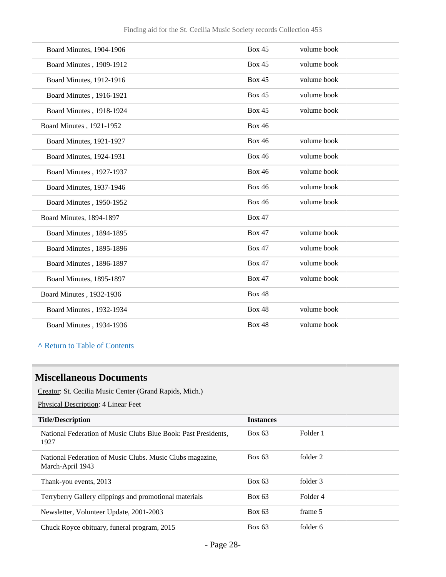| <b>Box 45</b><br>volume book<br>Board Minutes, 1904-1906<br><b>Box 45</b><br>volume book<br>Board Minutes, 1909-1912<br><b>Box 45</b><br>volume book<br><b>Board Minutes, 1912-1916</b><br><b>Box 45</b><br>volume book<br>Board Minutes, 1916-1921<br><b>Box 45</b><br>volume book<br>Board Minutes, 1918-1924<br><b>Box 46</b><br>Board Minutes, 1921-1952<br><b>Box 46</b><br>volume book<br>Board Minutes, 1921-1927<br><b>Box 46</b><br>volume book<br>Board Minutes, 1924-1931<br><b>Box 46</b><br>volume book<br>Board Minutes, 1927-1937<br><b>Box 46</b><br>volume book<br><b>Board Minutes, 1937-1946</b><br><b>Box 46</b><br>volume book<br>Board Minutes, 1950-1952<br><b>Box 47</b><br>Board Minutes, 1894-1897<br>volume book<br><b>Box 47</b><br>Board Minutes, 1894-1895<br><b>Box 47</b><br>volume book<br>Board Minutes, 1895-1896<br><b>Box 47</b><br>volume book<br>Board Minutes, 1896-1897<br><b>Box 47</b><br>volume book<br>Board Minutes, 1895-1897<br><b>Box 48</b><br>Board Minutes, 1932-1936<br>volume book<br><b>Box 48</b><br>Board Minutes, 1932-1934 |                                                          |  |  |
|---------------------------------------------------------------------------------------------------------------------------------------------------------------------------------------------------------------------------------------------------------------------------------------------------------------------------------------------------------------------------------------------------------------------------------------------------------------------------------------------------------------------------------------------------------------------------------------------------------------------------------------------------------------------------------------------------------------------------------------------------------------------------------------------------------------------------------------------------------------------------------------------------------------------------------------------------------------------------------------------------------------------------------------------------------------------------------------|----------------------------------------------------------|--|--|
|                                                                                                                                                                                                                                                                                                                                                                                                                                                                                                                                                                                                                                                                                                                                                                                                                                                                                                                                                                                                                                                                                       |                                                          |  |  |
|                                                                                                                                                                                                                                                                                                                                                                                                                                                                                                                                                                                                                                                                                                                                                                                                                                                                                                                                                                                                                                                                                       |                                                          |  |  |
|                                                                                                                                                                                                                                                                                                                                                                                                                                                                                                                                                                                                                                                                                                                                                                                                                                                                                                                                                                                                                                                                                       |                                                          |  |  |
|                                                                                                                                                                                                                                                                                                                                                                                                                                                                                                                                                                                                                                                                                                                                                                                                                                                                                                                                                                                                                                                                                       |                                                          |  |  |
|                                                                                                                                                                                                                                                                                                                                                                                                                                                                                                                                                                                                                                                                                                                                                                                                                                                                                                                                                                                                                                                                                       |                                                          |  |  |
|                                                                                                                                                                                                                                                                                                                                                                                                                                                                                                                                                                                                                                                                                                                                                                                                                                                                                                                                                                                                                                                                                       |                                                          |  |  |
|                                                                                                                                                                                                                                                                                                                                                                                                                                                                                                                                                                                                                                                                                                                                                                                                                                                                                                                                                                                                                                                                                       |                                                          |  |  |
|                                                                                                                                                                                                                                                                                                                                                                                                                                                                                                                                                                                                                                                                                                                                                                                                                                                                                                                                                                                                                                                                                       |                                                          |  |  |
|                                                                                                                                                                                                                                                                                                                                                                                                                                                                                                                                                                                                                                                                                                                                                                                                                                                                                                                                                                                                                                                                                       |                                                          |  |  |
|                                                                                                                                                                                                                                                                                                                                                                                                                                                                                                                                                                                                                                                                                                                                                                                                                                                                                                                                                                                                                                                                                       |                                                          |  |  |
|                                                                                                                                                                                                                                                                                                                                                                                                                                                                                                                                                                                                                                                                                                                                                                                                                                                                                                                                                                                                                                                                                       |                                                          |  |  |
|                                                                                                                                                                                                                                                                                                                                                                                                                                                                                                                                                                                                                                                                                                                                                                                                                                                                                                                                                                                                                                                                                       |                                                          |  |  |
|                                                                                                                                                                                                                                                                                                                                                                                                                                                                                                                                                                                                                                                                                                                                                                                                                                                                                                                                                                                                                                                                                       |                                                          |  |  |
|                                                                                                                                                                                                                                                                                                                                                                                                                                                                                                                                                                                                                                                                                                                                                                                                                                                                                                                                                                                                                                                                                       |                                                          |  |  |
|                                                                                                                                                                                                                                                                                                                                                                                                                                                                                                                                                                                                                                                                                                                                                                                                                                                                                                                                                                                                                                                                                       |                                                          |  |  |
|                                                                                                                                                                                                                                                                                                                                                                                                                                                                                                                                                                                                                                                                                                                                                                                                                                                                                                                                                                                                                                                                                       |                                                          |  |  |
|                                                                                                                                                                                                                                                                                                                                                                                                                                                                                                                                                                                                                                                                                                                                                                                                                                                                                                                                                                                                                                                                                       |                                                          |  |  |
|                                                                                                                                                                                                                                                                                                                                                                                                                                                                                                                                                                                                                                                                                                                                                                                                                                                                                                                                                                                                                                                                                       |                                                          |  |  |
|                                                                                                                                                                                                                                                                                                                                                                                                                                                                                                                                                                                                                                                                                                                                                                                                                                                                                                                                                                                                                                                                                       | <b>Box 48</b><br>volume book<br>Board Minutes, 1934-1936 |  |  |

### <span id="page-27-0"></span>**Miscellaneous Documents**

Creator: St. Cecilia Music Center (Grand Rapids, Mich.)

Physical Description: 4 Linear Feet

| <b>Title/Description</b>                                                      | <b>Instances</b> |          |
|-------------------------------------------------------------------------------|------------------|----------|
| National Federation of Music Clubs Blue Book: Past Presidents,<br>1927        | Box 63           | Folder 1 |
| National Federation of Music Clubs. Music Clubs magazine,<br>March-April 1943 | Box 63           | folder 2 |
| Thank-you events, 2013                                                        | Box 63           | folder 3 |
| Terryberry Gallery clippings and promotional materials                        | Box 63           | Folder 4 |
| Newsletter, Volunteer Update, 2001-2003                                       | Box 63           | frame 5  |
| Chuck Royce obituary, funeral program, 2015                                   | Box 63           | folder 6 |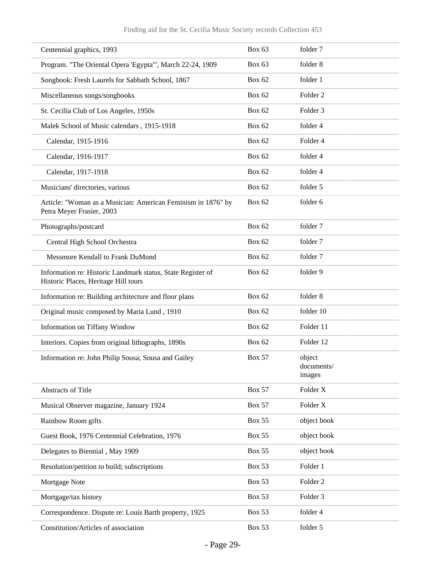| Centennial graphics, 1993                                                                           | <b>Box 63</b> | folder 7                       |
|-----------------------------------------------------------------------------------------------------|---------------|--------------------------------|
| Program. "The Oriental Opera 'Egypta'", March 22-24, 1909                                           | <b>Box 63</b> | folder 8                       |
| Songbook: Fresh Laurels for Sabbath School, 1867                                                    | <b>Box 62</b> | folder 1                       |
| Miscellaneous songs/songbooks                                                                       | <b>Box 62</b> | Folder <sub>2</sub>            |
| St. Cecilia Club of Los Angeles, 1950s                                                              | <b>Box 62</b> | Folder <sub>3</sub>            |
| Malek School of Music calendars, 1915-1918                                                          | <b>Box 62</b> | folder 4                       |
| Calendar, 1915-1916                                                                                 | <b>Box 62</b> | Folder 4                       |
| Calendar, 1916-1917                                                                                 | <b>Box 62</b> | folder 4                       |
| Calendar, 1917-1918                                                                                 | <b>Box 62</b> | folder 4                       |
| Musicians' directories, various                                                                     | <b>Box 62</b> | folder 5                       |
| Article: "Woman as a Musician: American Feminism in 1876" by<br>Petra Meyer Frasier, 2003           | <b>Box 62</b> | folder 6                       |
| Photographs/postcard                                                                                | <b>Box 62</b> | folder 7                       |
| Central High School Orchestra                                                                       | <b>Box 62</b> | folder 7                       |
| Messmore Kendall to Frank DuMond                                                                    | <b>Box 62</b> | folder 7                       |
| Information re: Historic Landmark status, State Register of<br>Historic Places, Heritage Hill tours | <b>Box 62</b> | folder 9                       |
| Information re: Building architecture and floor plans                                               | <b>Box 62</b> | folder 8                       |
| Original music composed by Maria Lund, 1910                                                         | <b>Box 62</b> | folder 10                      |
| Information on Tiffany Window                                                                       | <b>Box 62</b> | Folder 11                      |
| Interiors. Copies from original lithographs, 1890s                                                  | <b>Box 62</b> | Folder 12                      |
| Information re: John Philip Sousa; Sousa and Gailey                                                 | <b>Box 57</b> | object<br>documents/<br>images |
| Abstracts of Title                                                                                  | <b>Box 57</b> | Folder X                       |
| Musical Observer magazine, January 1924                                                             | <b>Box 57</b> | Folder X                       |
| Rainbow Room gifts                                                                                  | <b>Box 55</b> | object book                    |
| Guest Book, 1976 Centennial Celebration, 1976                                                       | <b>Box 55</b> | object book                    |
| Delegates to Biennial, May 1909                                                                     | <b>Box 55</b> | object book                    |
| Resolution/petition to build; subscriptions                                                         | <b>Box 53</b> | Folder 1                       |
| Mortgage Note                                                                                       | <b>Box 53</b> | Folder <sub>2</sub>            |
| Mortgage/tax history                                                                                | <b>Box 53</b> | Folder <sub>3</sub>            |
| Correspondence. Dispute re: Louis Barth property, 1925                                              | <b>Box 53</b> | folder 4                       |
| Constitution/Articles of association                                                                | <b>Box 53</b> | folder 5                       |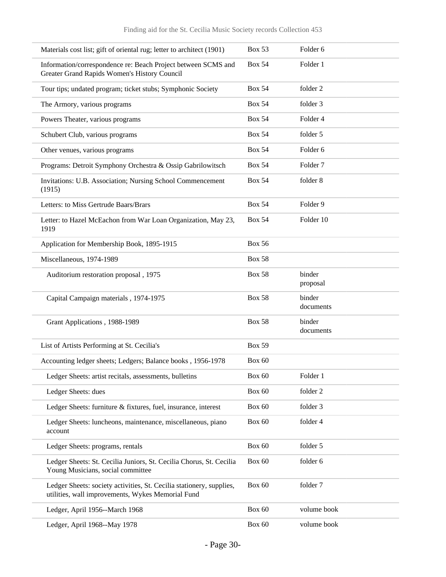| Materials cost list; gift of oriental rug; letter to architect (1901)                                                     | <b>Box 53</b> | Folder 6            |
|---------------------------------------------------------------------------------------------------------------------------|---------------|---------------------|
| Information/correspondence re: Beach Project between SCMS and<br>Greater Grand Rapids Women's History Council             | <b>Box 54</b> | Folder 1            |
| Tour tips; undated program; ticket stubs; Symphonic Society                                                               | <b>Box 54</b> | folder 2            |
| The Armory, various programs                                                                                              | <b>Box 54</b> | folder 3            |
| Powers Theater, various programs                                                                                          | <b>Box 54</b> | Folder 4            |
| Schubert Club, various programs                                                                                           | <b>Box 54</b> | folder 5            |
| Other venues, various programs                                                                                            | <b>Box 54</b> | Folder <sub>6</sub> |
| Programs: Detroit Symphony Orchestra & Ossip Gabrilowitsch                                                                | <b>Box 54</b> | Folder <sub>7</sub> |
| Invitations: U.B. Association; Nursing School Commencement<br>(1915)                                                      | <b>Box 54</b> | folder 8            |
| Letters: to Miss Gertrude Baars/Brars                                                                                     | <b>Box 54</b> | Folder 9            |
| Letter: to Hazel McEachon from War Loan Organization, May 23,<br>1919                                                     | <b>Box 54</b> | Folder 10           |
| Application for Membership Book, 1895-1915                                                                                | <b>Box 56</b> |                     |
| Miscellaneous, 1974-1989                                                                                                  | <b>Box 58</b> |                     |
| Auditorium restoration proposal, 1975                                                                                     | <b>Box 58</b> | binder<br>proposal  |
| Capital Campaign materials, 1974-1975                                                                                     | <b>Box 58</b> | binder<br>documents |
| Grant Applications, 1988-1989                                                                                             | <b>Box 58</b> | binder<br>documents |
| List of Artists Performing at St. Cecilia's                                                                               | <b>Box 59</b> |                     |
| Accounting ledger sheets; Ledgers; Balance books, 1956-1978                                                               | <b>Box 60</b> |                     |
| Ledger Sheets: artist recitals, assessments, bulletins                                                                    | Box 60        | Folder 1            |
| Ledger Sheets: dues                                                                                                       | <b>Box 60</b> | folder 2            |
| Ledger Sheets: furniture & fixtures, fuel, insurance, interest                                                            | Box 60        | folder 3            |
| Ledger Sheets: luncheons, maintenance, miscellaneous, piano<br>account                                                    | Box 60        | folder 4            |
| Ledger Sheets: programs, rentals                                                                                          | Box 60        | folder 5            |
| Ledger Sheets: St. Cecilia Juniors, St. Cecilia Chorus, St. Cecilia<br>Young Musicians, social committee                  | <b>Box 60</b> | folder 6            |
| Ledger Sheets: society activities, St. Cecilia stationery, supplies,<br>utilities, wall improvements, Wykes Memorial Fund | <b>Box 60</b> | folder 7            |
| Ledger, April 1956--March 1968                                                                                            | Box 60        | volume book         |
| Ledger, April 1968--May 1978                                                                                              | Box 60        | volume book         |